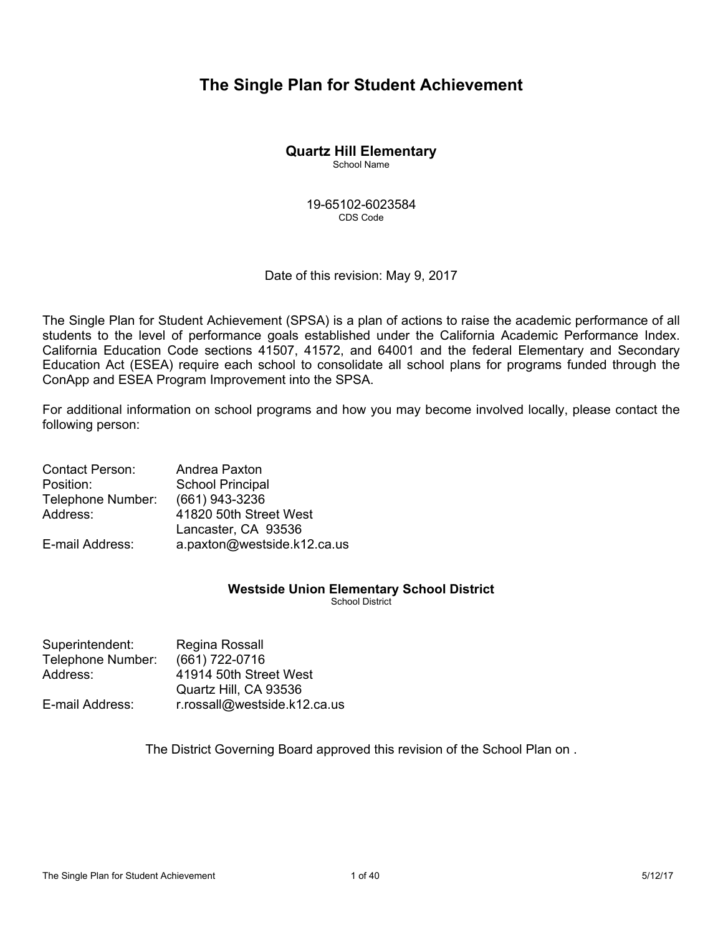# **The Single Plan for Student Achievement**

# **Quartz Hill Elementary**

School Name

19-65102-6023584 CDS Code

Date of this revision: May 9, 2017

The Single Plan for Student Achievement (SPSA) is a plan of actions to raise the academic performance of all students to the level of performance goals established under the California Academic Performance Index. California Education Code sections 41507, 41572, and 64001 and the federal Elementary and Secondary Education Act (ESEA) require each school to consolidate all school plans for programs funded through the ConApp and ESEA Program Improvement into the SPSA.

For additional information on school programs and how you may become involved locally, please contact the following person:

| <b>Contact Person:</b> | Andrea Paxton               |
|------------------------|-----------------------------|
| Position:              | <b>School Principal</b>     |
| Telephone Number:      | (661) 943-3236              |
| Address:               | 41820 50th Street West      |
|                        | Lancaster, CA 93536         |
| E-mail Address:        | a.paxton@westside.k12.ca.us |

## **Westside Union Elementary School District**

School District

| Regina Rossall               |
|------------------------------|
| (661) 722-0716               |
| 41914 50th Street West       |
| Quartz Hill, CA 93536        |
| r.rossall@westside.k12.ca.us |
|                              |

The District Governing Board approved this revision of the School Plan on .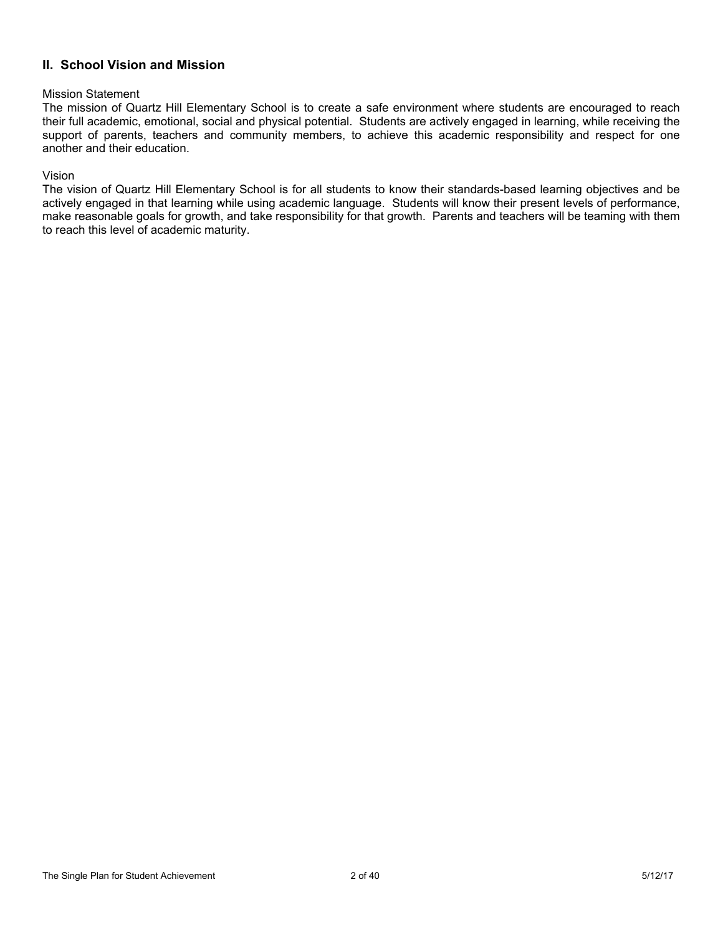# **II. School Vision and Mission**

#### Mission Statement

The mission of Quartz Hill Elementary School is to create a safe environment where students are encouraged to reach their full academic, emotional, social and physical potential. Students are actively engaged in learning, while receiving the support of parents, teachers and community members, to achieve this academic responsibility and respect for one another and their education.

### Vision

The vision of Quartz Hill Elementary School is for all students to know their standards-based learning objectives and be actively engaged in that learning while using academic language. Students will know their present levels of performance, make reasonable goals for growth, and take responsibility for that growth. Parents and teachers will be teaming with them to reach this level of academic maturity.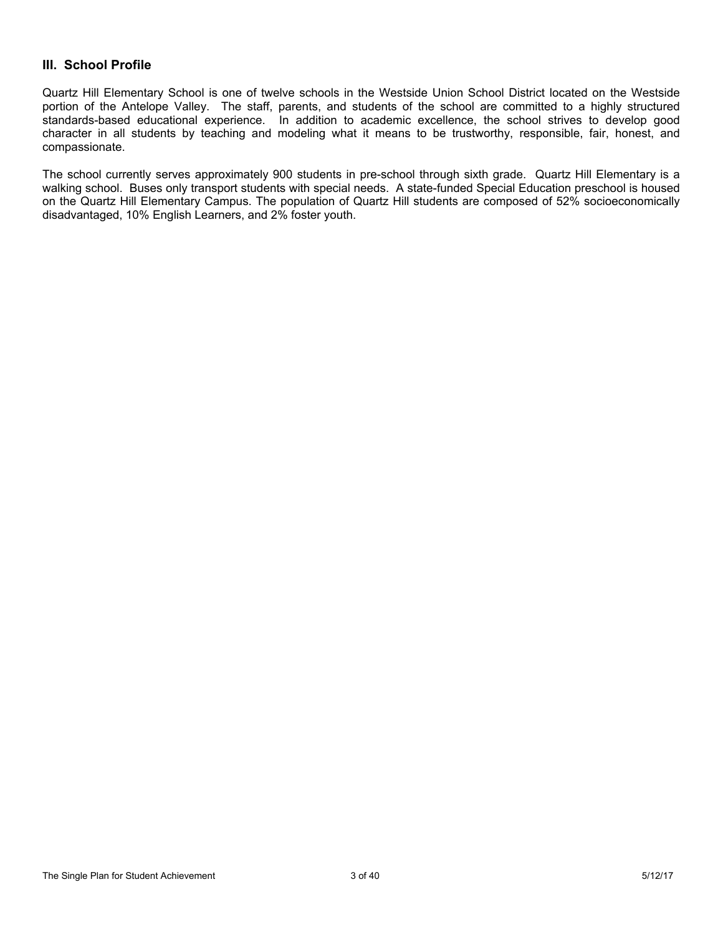## **III. School Profile**

Quartz Hill Elementary School is one of twelve schools in the Westside Union School District located on the Westside portion of the Antelope Valley. The staff, parents, and students of the school are committed to a highly structured standards-based educational experience. In addition to academic excellence, the school strives to develop good character in all students by teaching and modeling what it means to be trustworthy, responsible, fair, honest, and compassionate.

The school currently serves approximately 900 students in pre-school through sixth grade. Quartz Hill Elementary is a walking school. Buses only transport students with special needs. A state-funded Special Education preschool is housed on the Quartz Hill Elementary Campus. The population of Quartz Hill students are composed of 52% socioeconomically disadvantaged, 10% English Learners, and 2% foster youth.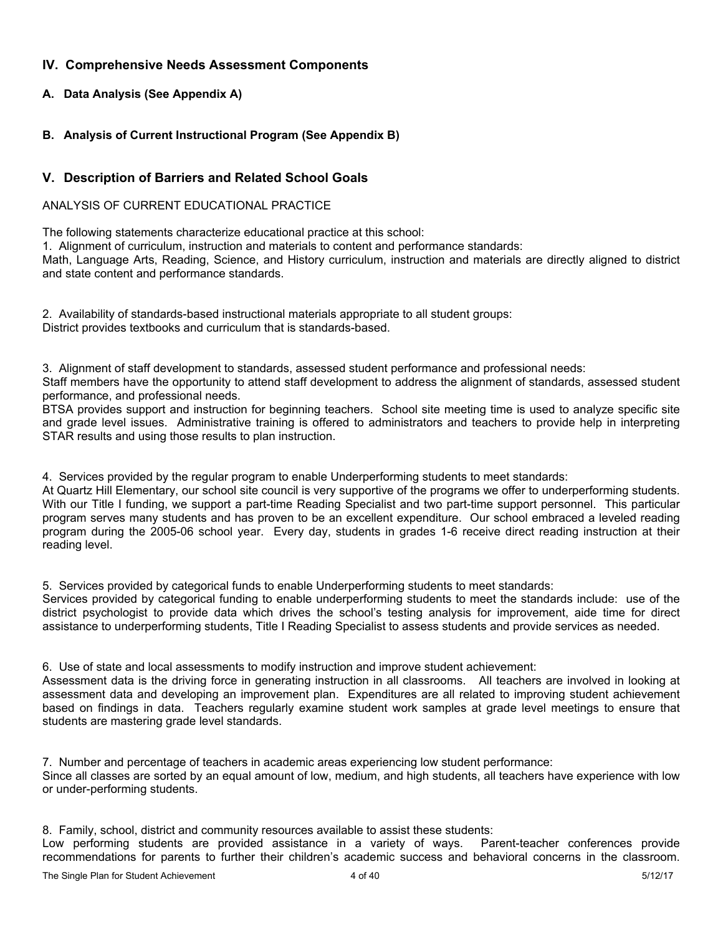## **IV. Comprehensive Needs Assessment Components**

## **A. Data Analysis (See Appendix A)**

## **B. Analysis of Current Instructional Program (See Appendix B)**

# **V. Description of Barriers and Related School Goals**

### ANALYSIS OF CURRENT EDUCATIONAL PRACTICE

The following statements characterize educational practice at this school:

1. Alignment of curriculum, instruction and materials to content and performance standards:

Math, Language Arts, Reading, Science, and History curriculum, instruction and materials are directly aligned to district and state content and performance standards.

2. Availability of standards-based instructional materials appropriate to all student groups: District provides textbooks and curriculum that is standards-based.

3. Alignment of staff development to standards, assessed student performance and professional needs:

Staff members have the opportunity to attend staff development to address the alignment of standards, assessed student performance, and professional needs.

BTSA provides support and instruction for beginning teachers. School site meeting time is used to analyze specific site and grade level issues. Administrative training is offered to administrators and teachers to provide help in interpreting STAR results and using those results to plan instruction.

4. Services provided by the regular program to enable Underperforming students to meet standards:

At Quartz Hill Elementary, our school site council is very supportive of the programs we offer to underperforming students. With our Title I funding, we support a part-time Reading Specialist and two part-time support personnel. This particular program serves many students and has proven to be an excellent expenditure. Our school embraced a leveled reading program during the 2005-06 school year. Every day, students in grades 1-6 receive direct reading instruction at their reading level.

5. Services provided by categorical funds to enable Underperforming students to meet standards:

Services provided by categorical funding to enable underperforming students to meet the standards include: use of the district psychologist to provide data which drives the school's testing analysis for improvement, aide time for direct assistance to underperforming students, Title I Reading Specialist to assess students and provide services as needed.

6. Use of state and local assessments to modify instruction and improve student achievement:

Assessment data is the driving force in generating instruction in all classrooms. All teachers are involved in looking at assessment data and developing an improvement plan. Expenditures are all related to improving student achievement based on findings in data. Teachers regularly examine student work samples at grade level meetings to ensure that students are mastering grade level standards.

7. Number and percentage of teachers in academic areas experiencing low student performance: Since all classes are sorted by an equal amount of low, medium, and high students, all teachers have experience with low or under-performing students.

8. Family, school, district and community resources available to assist these students:

Low performing students are provided assistance in a variety of ways. Parent-teacher conferences provide recommendations for parents to further their children's academic success and behavioral concerns in the classroom.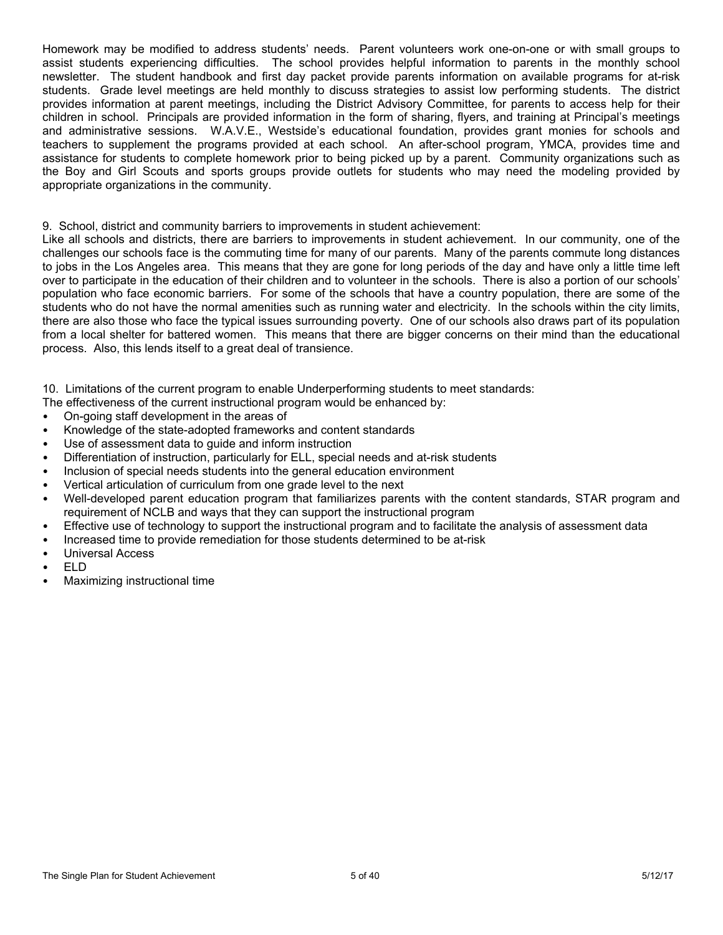Homework may be modified to address students' needs. Parent volunteers work one-on-one or with small groups to assist students experiencing difficulties. The school provides helpful information to parents in the monthly school newsletter. The student handbook and first day packet provide parents information on available programs for at-risk students. Grade level meetings are held monthly to discuss strategies to assist low performing students. The district provides information at parent meetings, including the District Advisory Committee, for parents to access help for their children in school. Principals are provided information in the form of sharing, flyers, and training at Principal's meetings and administrative sessions. W.A.V.E., Westside's educational foundation, provides grant monies for schools and teachers to supplement the programs provided at each school. An after-school program, YMCA, provides time and assistance for students to complete homework prior to being picked up by a parent. Community organizations such as the Boy and Girl Scouts and sports groups provide outlets for students who may need the modeling provided by appropriate organizations in the community.

### 9. School, district and community barriers to improvements in student achievement:

Like all schools and districts, there are barriers to improvements in student achievement. In our community, one of the challenges our schools face is the commuting time for many of our parents. Many of the parents commute long distances to jobs in the Los Angeles area. This means that they are gone for long periods of the day and have only a little time left over to participate in the education of their children and to volunteer in the schools. There is also a portion of our schools' population who face economic barriers. For some of the schools that have a country population, there are some of the students who do not have the normal amenities such as running water and electricity. In the schools within the city limits, there are also those who face the typical issues surrounding poverty. One of our schools also draws part of its population from a local shelter for battered women. This means that there are bigger concerns on their mind than the educational process. Also, this lends itself to a great deal of transience.

10. Limitations of the current program to enable Underperforming students to meet standards:

- The effectiveness of the current instructional program would be enhanced by:
- On-going staff development in the areas of
- Knowledge of the state-adopted frameworks and content standards
- Use of assessment data to guide and inform instruction
- Differentiation of instruction, particularly for ELL, special needs and at-risk students
- Inclusion of special needs students into the general education environment
- Vertical articulation of curriculum from one grade level to the next
- Well-developed parent education program that familiarizes parents with the content standards, STAR program and requirement of NCLB and ways that they can support the instructional program
- Effective use of technology to support the instructional program and to facilitate the analysis of assessment data
- Increased time to provide remediation for those students determined to be at-risk
- Universal Access
- ELD
- Maximizing instructional time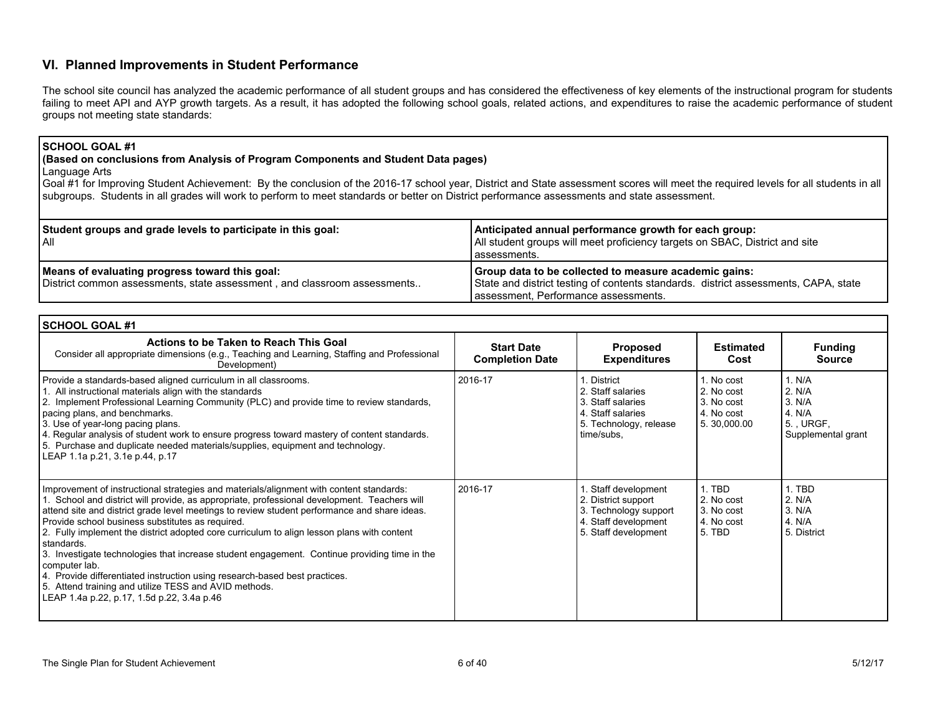## **VI. Planned Improvements in Student Performance**

The school site council has analyzed the academic performance of all student groups and has considered the effectiveness of key elements of the instructional program for students failing to meet API and AYP growth targets. As a result, it has adopted the following school goals, related actions, and expenditures to raise the academic performance of student groups not meeting state standards:

#### **SCHOOL GOAL #1**

### **(Based on conclusions from Analysis of Program Components and Student Data pages)**

Language Arts

Goal #1 for Improving Student Achievement: By the conclusion of the 2016-17 school year, District and State assessment scores will meet the required levels for all students in all subgroups. Students in all grades will work to perform to meet standards or better on District performance assessments and state assessment.

| Student groups and grade levels to participate in this goal:<br>l All                                                      | Anticipated annual performance growth for each group:<br>All student groups will meet proficiency targets on SBAC, District and site<br>l assessments.                               |
|----------------------------------------------------------------------------------------------------------------------------|--------------------------------------------------------------------------------------------------------------------------------------------------------------------------------------|
| Means of evaluating progress toward this goal:<br>District common assessments, state assessment, and classroom assessments | Group data to be collected to measure academic gains:<br>State and district testing of contents standards. district assessments, CAPA, state<br>assessment, Performance assessments. |

| <b>SCHOOL GOAL #1</b>                                                                                                                                                                                                                                                                                                                                                                                                                                                                                                                                                                                                                                                                                                                                         |                                             |                                                                                                                     |                                                                     |                                                                        |
|---------------------------------------------------------------------------------------------------------------------------------------------------------------------------------------------------------------------------------------------------------------------------------------------------------------------------------------------------------------------------------------------------------------------------------------------------------------------------------------------------------------------------------------------------------------------------------------------------------------------------------------------------------------------------------------------------------------------------------------------------------------|---------------------------------------------|---------------------------------------------------------------------------------------------------------------------|---------------------------------------------------------------------|------------------------------------------------------------------------|
| Actions to be Taken to Reach This Goal<br>Consider all appropriate dimensions (e.g., Teaching and Learning, Staffing and Professional<br>Development)                                                                                                                                                                                                                                                                                                                                                                                                                                                                                                                                                                                                         | <b>Start Date</b><br><b>Completion Date</b> | <b>Proposed</b><br><b>Expenditures</b>                                                                              | <b>Estimated</b><br>Cost                                            | <b>Funding</b><br><b>Source</b>                                        |
| Provide a standards-based aligned curriculum in all classrooms.<br>1. All instructional materials align with the standards<br>2. Implement Professional Learning Community (PLC) and provide time to review standards,<br>pacing plans, and benchmarks.<br>3. Use of year-long pacing plans.<br>4. Regular analysis of student work to ensure progress toward mastery of content standards.<br>5. Purchase and duplicate needed materials/supplies, equipment and technology.<br>LEAP 1.1a p.21, 3.1e p.44, p.17                                                                                                                                                                                                                                              | 2016-17                                     | 1. District<br>2. Staff salaries<br>3. Staff salaries<br>4. Staff salaries<br>5. Technology, release<br>time/subs,  | 1. No cost<br>2. No cost<br>3. No cost<br>4. No cost<br>5.30,000.00 | 1. N/A<br>2. N/A<br>3. N/A<br>4. N/A<br>5. URGF,<br>Supplemental grant |
| Improvement of instructional strategies and materials/alignment with content standards:<br>1. School and district will provide, as appropriate, professional development. Teachers will<br>attend site and district grade level meetings to review student performance and share ideas.<br>Provide school business substitutes as required.<br>2. Fully implement the district adopted core curriculum to align lesson plans with content<br>standards.<br>3. Investigate technologies that increase student engagement. Continue providing time in the<br>computer lab.<br>4. Provide differentiated instruction using research-based best practices.<br>5. Attend training and utilize TESS and AVID methods.<br>LEAP 1.4a p.22, p.17, 1.5d p.22, 3.4a p.46 | 2016-17                                     | . Staff development<br>2. District support<br>3. Technology support<br>4. Staff development<br>5. Staff development | 1. TBD<br>2. No cost<br>3. No cost<br>4. No cost<br>5. TBD          | 1. TBD<br>2. N/A<br>3. N/A<br>4. N/A<br>5. District                    |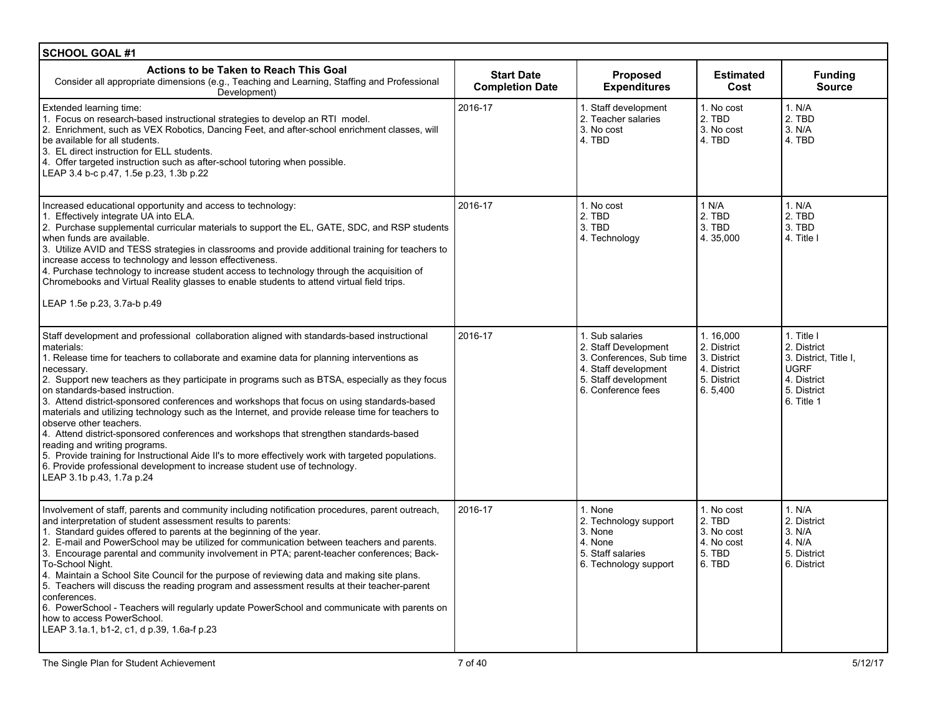| <b>SCHOOL GOAL #1</b>                                                                                                                                                                                                                                                                                                                                                                                                                                                                                                                                                                                                                                                                                                                                                                                                                                                                                                                 |                                             |                                                                                                                                           |                                                                                 |                                                                                                               |
|---------------------------------------------------------------------------------------------------------------------------------------------------------------------------------------------------------------------------------------------------------------------------------------------------------------------------------------------------------------------------------------------------------------------------------------------------------------------------------------------------------------------------------------------------------------------------------------------------------------------------------------------------------------------------------------------------------------------------------------------------------------------------------------------------------------------------------------------------------------------------------------------------------------------------------------|---------------------------------------------|-------------------------------------------------------------------------------------------------------------------------------------------|---------------------------------------------------------------------------------|---------------------------------------------------------------------------------------------------------------|
| Actions to be Taken to Reach This Goal<br>Consider all appropriate dimensions (e.g., Teaching and Learning, Staffing and Professional<br>Development)                                                                                                                                                                                                                                                                                                                                                                                                                                                                                                                                                                                                                                                                                                                                                                                 | <b>Start Date</b><br><b>Completion Date</b> | <b>Proposed</b><br><b>Expenditures</b>                                                                                                    | <b>Estimated</b><br>Cost                                                        | <b>Funding</b><br><b>Source</b>                                                                               |
| Extended learning time:<br>1. Focus on research-based instructional strategies to develop an RTI model.<br>2. Enrichment, such as VEX Robotics, Dancing Feet, and after-school enrichment classes, will<br>be available for all students.<br>3. EL direct instruction for ELL students.<br>4. Offer targeted instruction such as after-school tutoring when possible.<br>LEAP 3.4 b-c p.47, 1.5e p.23, 1.3b p.22                                                                                                                                                                                                                                                                                                                                                                                                                                                                                                                      | 2016-17                                     | 1. Staff development<br>2. Teacher salaries<br>3. No cost<br>4. TBD                                                                       | 1. No cost<br>2. TBD<br>3. No cost<br>4. TBD                                    | 1. N/A<br>2. TBD<br>3. N/A<br>4. TBD                                                                          |
| Increased educational opportunity and access to technology:<br>1. Effectively integrate UA into ELA.<br>2. Purchase supplemental curricular materials to support the EL, GATE, SDC, and RSP students<br>when funds are available.<br>3. Utilize AVID and TESS strategies in classrooms and provide additional training for teachers to<br>increase access to technology and lesson effectiveness.<br>4. Purchase technology to increase student access to technology through the acquisition of<br>Chromebooks and Virtual Reality glasses to enable students to attend virtual field trips.<br>LEAP 1.5e p.23, 3.7a-b p.49                                                                                                                                                                                                                                                                                                           | 2016-17                                     | 1. No cost<br>2. TBD<br>3. TBD<br>4. Technology                                                                                           | 1 N/A<br>2. TBD<br>3. TBD<br>4.35,000                                           | 1. N/A<br>2. TBD<br>3. TBD<br>4. Title I                                                                      |
| Staff development and professional collaboration aligned with standards-based instructional<br>materials:<br>1. Release time for teachers to collaborate and examine data for planning interventions as<br>necessary.<br>2. Support new teachers as they participate in programs such as BTSA, especially as they focus<br>on standards-based instruction.<br>3. Attend district-sponsored conferences and workshops that focus on using standards-based<br>materials and utilizing technology such as the Internet, and provide release time for teachers to<br>observe other teachers.<br>4. Attend district-sponsored conferences and workshops that strengthen standards-based<br>reading and writing programs.<br>5. Provide training for Instructional Aide II's to more effectively work with targeted populations.<br>6. Provide professional development to increase student use of technology.<br>LEAP 3.1b p.43, 1.7a p.24 | 2016-17                                     | 1. Sub salaries<br>2. Staff Development<br>3. Conferences, Sub time<br>4. Staff development<br>5. Staff development<br>6. Conference fees | 1.16,000<br>2. District<br>3. District<br>4. District<br>5. District<br>6.5,400 | 1. Title I<br>2. District<br>3. District, Title I,<br><b>UGRF</b><br>4. District<br>5. District<br>6. Title 1 |
| Involvement of staff, parents and community including notification procedures, parent outreach,<br>and interpretation of student assessment results to parents:<br>1. Standard quides offered to parents at the beginning of the year.<br>2. E-mail and PowerSchool may be utilized for communication between teachers and parents.<br>3. Encourage parental and community involvement in PTA; parent-teacher conferences; Back-<br>To-School Night.<br>4. Maintain a School Site Council for the purpose of reviewing data and making site plans.<br>5. Teachers will discuss the reading program and assessment results at their teacher-parent<br>conferences.<br>6. PowerSchool - Teachers will regularly update PowerSchool and communicate with parents on<br>how to access PowerSchool.<br>LEAP 3.1a.1, b1-2, c1, d p.39, 1.6a-f p.23                                                                                          | 2016-17                                     | 1. None<br>2. Technology support<br>3. None<br>4. None<br>5. Staff salaries<br>6. Technology support                                      | 1. No cost<br>2. TBD<br>3. No cost<br>4. No cost<br>5. TBD<br>6. TBD            | 1. N/A<br>2. District<br>3. N/A<br>4. N/A<br>5. District<br>6. District                                       |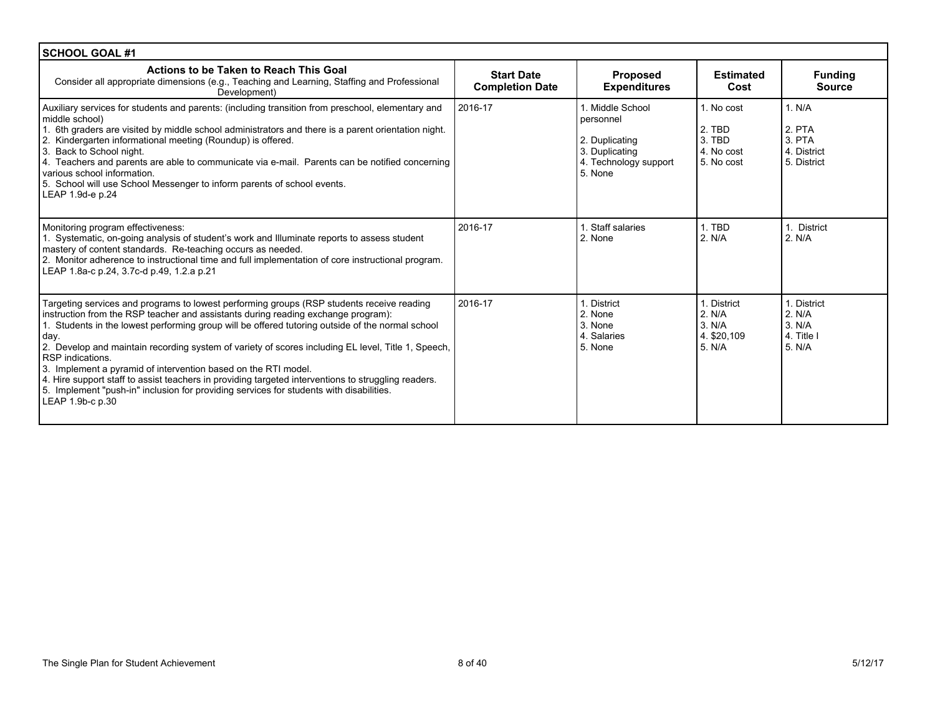| <b>SCHOOL GOAL #1</b>                                                                                                                                                                                                                                                                                                                                                                                                                                                                                                                                                                                                                                                                                        |                                             |                                                                                                       |                                                            |                                                          |
|--------------------------------------------------------------------------------------------------------------------------------------------------------------------------------------------------------------------------------------------------------------------------------------------------------------------------------------------------------------------------------------------------------------------------------------------------------------------------------------------------------------------------------------------------------------------------------------------------------------------------------------------------------------------------------------------------------------|---------------------------------------------|-------------------------------------------------------------------------------------------------------|------------------------------------------------------------|----------------------------------------------------------|
| Actions to be Taken to Reach This Goal<br>Consider all appropriate dimensions (e.g., Teaching and Learning, Staffing and Professional<br>Development)                                                                                                                                                                                                                                                                                                                                                                                                                                                                                                                                                        | <b>Start Date</b><br><b>Completion Date</b> | Proposed<br><b>Expenditures</b>                                                                       | <b>Estimated</b><br>Cost                                   | <b>Funding</b><br><b>Source</b>                          |
| Auxiliary services for students and parents: (including transition from preschool, elementary and<br>middle school)<br>1. 6th graders are visited by middle school administrators and there is a parent orientation night.<br>2. Kindergarten informational meeting (Roundup) is offered.<br>3. Back to School night.<br>4. Teachers and parents are able to communicate via e-mail. Parents can be notified concerning<br>various school information.<br>5. School will use School Messenger to inform parents of school events.<br>LEAP 1.9d-e p.24                                                                                                                                                        | 2016-17                                     | 1. Middle School<br>personnel<br>2. Duplicating<br>3. Duplicating<br>4. Technology support<br>5. None | 1. No cost<br>2. TBD<br>3. TBD<br>4. No cost<br>5. No cost | 1. N/A<br>2. PTA<br>3. PTA<br>4. District<br>5. District |
| Monitoring program effectiveness:<br>1. Systematic, on-going analysis of student's work and Illuminate reports to assess student<br>mastery of content standards. Re-teaching occurs as needed.<br>2. Monitor adherence to instructional time and full implementation of core instructional program.<br>LEAP 1.8a-c p.24, 3.7c-d p.49, 1.2.a p.21                                                                                                                                                                                                                                                                                                                                                            | 2016-17                                     | 1. Staff salaries<br>2. None                                                                          | 1. TBD<br>2. N/A                                           | <b>District</b><br>2. N/A                                |
| Targeting services and programs to lowest performing groups (RSP students receive reading<br>instruction from the RSP teacher and assistants during reading exchange program):<br>1. Students in the lowest performing group will be offered tutoring outside of the normal school<br>day.<br>2. Develop and maintain recording system of variety of scores including EL level, Title 1, Speech,<br>RSP indications.<br>3. Implement a pyramid of intervention based on the RTI model.<br>4. Hire support staff to assist teachers in providing targeted interventions to struggling readers.<br>5. Implement "push-in" inclusion for providing services for students with disabilities.<br>LEAP 1.9b-c p.30 | 2016-17                                     | 1. District<br>2. None<br>3. None<br>4. Salaries<br>5. None                                           | 1. District<br>2. N/A<br>3. N/A<br>4. \$20,109<br>5. N/A   | 1. District<br>2. N/A<br>3. N/A<br>4. Title I<br>5. N/A  |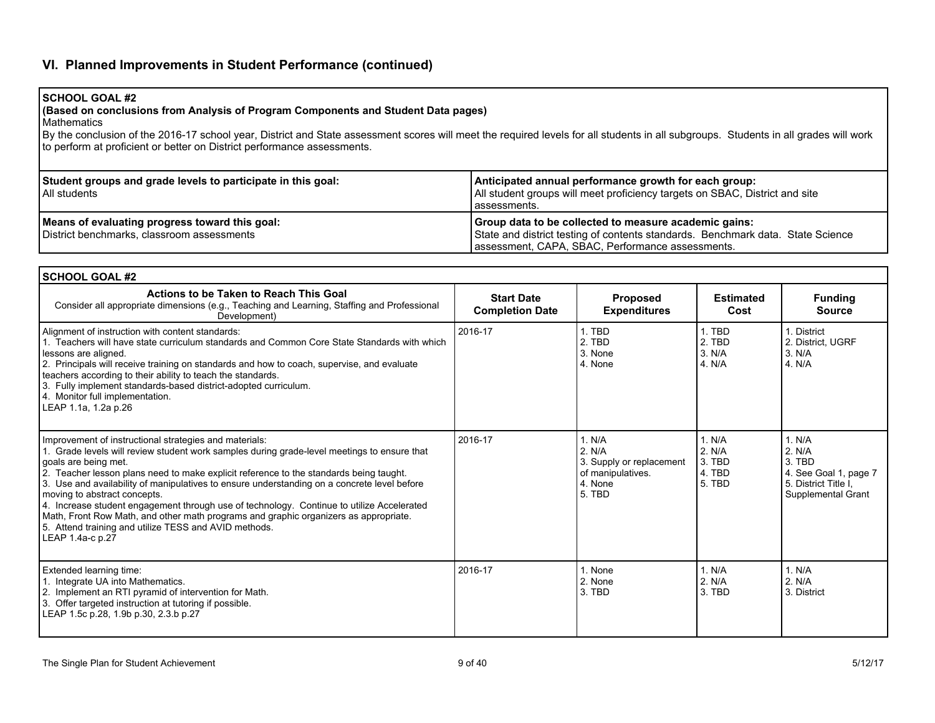# **VI. Planned Improvements in Student Performance (continued)**

## **SCHOOL GOAL #2**

### **(Based on conclusions from Analysis of Program Components and Student Data pages)**

Mathematics

By the conclusion of the 2016-17 school year, District and State assessment scores will meet the required levels for all students in all subgroups. Students in all grades will work to perform at proficient or better on District performance assessments.

| Student groups and grade levels to participate in this goal:<br>l All students               | Anticipated annual performance growth for each group:<br>All student groups will meet proficiency targets on SBAC, District and site<br>l assessments.                                       |
|----------------------------------------------------------------------------------------------|----------------------------------------------------------------------------------------------------------------------------------------------------------------------------------------------|
| Means of evaluating progress toward this goal:<br>District benchmarks, classroom assessments | Group data to be collected to measure academic gains:<br>State and district testing of contents standards. Benchmark data. State Science<br>assessment, CAPA, SBAC, Performance assessments. |

| <b>SCHOOL GOAL #2</b>                                                                                                                                                                                                                                                                                                                                                                                                                                                                                                                                                                                                                                                    |                                             |                                                                                        |                                                |                                                                                                   |
|--------------------------------------------------------------------------------------------------------------------------------------------------------------------------------------------------------------------------------------------------------------------------------------------------------------------------------------------------------------------------------------------------------------------------------------------------------------------------------------------------------------------------------------------------------------------------------------------------------------------------------------------------------------------------|---------------------------------------------|----------------------------------------------------------------------------------------|------------------------------------------------|---------------------------------------------------------------------------------------------------|
| Actions to be Taken to Reach This Goal<br>Consider all appropriate dimensions (e.g., Teaching and Learning, Staffing and Professional<br>Development)                                                                                                                                                                                                                                                                                                                                                                                                                                                                                                                    | <b>Start Date</b><br><b>Completion Date</b> | Proposed<br><b>Expenditures</b>                                                        | <b>Estimated</b><br>Cost                       | <b>Funding</b><br><b>Source</b>                                                                   |
| Alignment of instruction with content standards:<br>1. Teachers will have state curriculum standards and Common Core State Standards with which<br>lessons are aligned.<br>2. Principals will receive training on standards and how to coach, supervise, and evaluate<br>teachers according to their ability to teach the standards.<br>3. Fully implement standards-based district-adopted curriculum.<br>4. Monitor full implementation.<br>LEAP 1.1a, 1.2a p.26                                                                                                                                                                                                       | 2016-17                                     | 1. TBD<br>2. TBD<br>3. None<br>4. None                                                 | 1. TBD<br>2. TBD<br>3. N/A<br>4. N/A           | 1. District<br>2. District, UGRF<br>3. N/A<br>4. N/A                                              |
| Improvement of instructional strategies and materials:<br>1. Grade levels will review student work samples during grade-level meetings to ensure that<br>goals are being met.<br>2. Teacher lesson plans need to make explicit reference to the standards being taught.<br>3. Use and availability of manipulatives to ensure understanding on a concrete level before<br>moving to abstract concepts.<br>4. Increase student engagement through use of technology. Continue to utilize Accelerated<br>Math, Front Row Math, and other math programs and graphic organizers as appropriate.<br>5. Attend training and utilize TESS and AVID methods.<br>LEAP 1.4a-c p.27 | 2016-17                                     | 1. N/A<br>2. N/A<br>3. Supply or replacement<br>of manipulatives.<br>4. None<br>5. TBD | 1. N/A<br>2. N/A<br>3. TBD<br>4. TBD<br>5. TBD | 1. N/A<br>2. N/A<br>3. TBD<br>4. See Goal 1, page 7<br>5. District Title I,<br>Supplemental Grant |
| Extended learning time:<br>1. Integrate UA into Mathematics.<br>2. Implement an RTI pyramid of intervention for Math.<br>3. Offer targeted instruction at tutoring if possible.<br>LEAP 1.5c p.28, 1.9b p.30, 2.3.b p.27                                                                                                                                                                                                                                                                                                                                                                                                                                                 | 2016-17                                     | 1. None<br>2. None<br>3. TBD                                                           | 1. N/A<br>2. N/A<br>3. TBD                     | 1. N/A<br>2. N/A<br>3. District                                                                   |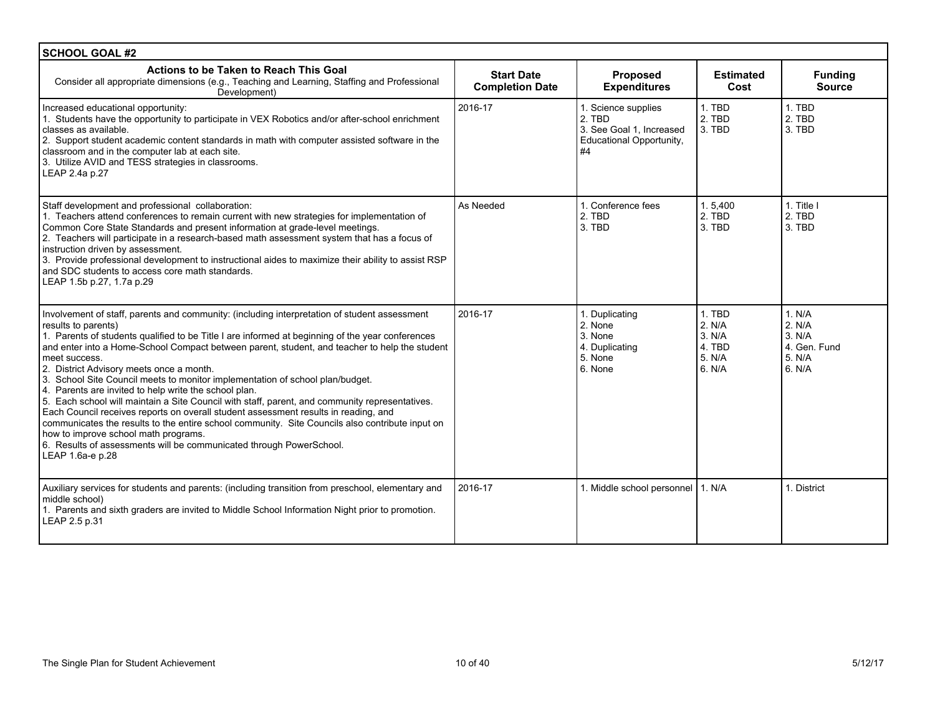| <b>SCHOOL GOAL #2</b>                                                                                                                                                                                                                                                                                                                                                                                                                                                                                                                                                                                                                                                                                                                                                                                                                                                                                                                                          |                                             |                                                                                             |                                                          |                                                                |
|----------------------------------------------------------------------------------------------------------------------------------------------------------------------------------------------------------------------------------------------------------------------------------------------------------------------------------------------------------------------------------------------------------------------------------------------------------------------------------------------------------------------------------------------------------------------------------------------------------------------------------------------------------------------------------------------------------------------------------------------------------------------------------------------------------------------------------------------------------------------------------------------------------------------------------------------------------------|---------------------------------------------|---------------------------------------------------------------------------------------------|----------------------------------------------------------|----------------------------------------------------------------|
| Actions to be Taken to Reach This Goal<br>Consider all appropriate dimensions (e.g., Teaching and Learning, Staffing and Professional<br>Development)                                                                                                                                                                                                                                                                                                                                                                                                                                                                                                                                                                                                                                                                                                                                                                                                          | <b>Start Date</b><br><b>Completion Date</b> | <b>Proposed</b><br><b>Expenditures</b>                                                      | <b>Estimated</b><br>Cost                                 | <b>Funding</b><br><b>Source</b>                                |
| Increased educational opportunity:<br>1. Students have the opportunity to participate in VEX Robotics and/or after-school enrichment<br>classes as available.<br>2. Support student academic content standards in math with computer assisted software in the<br>classroom and in the computer lab at each site.<br>3. Utilize AVID and TESS strategies in classrooms.<br>LEAP 2.4a p.27                                                                                                                                                                                                                                                                                                                                                                                                                                                                                                                                                                       | 2016-17                                     | 1. Science supplies<br>2. TBD<br>3. See Goal 1. Increased<br>Educational Opportunity,<br>#4 | 1. TBD<br>2. TBD<br>3. TBD                               | 1. TBD<br>2. TBD<br>3. TBD                                     |
| Staff development and professional collaboration:<br>1. Teachers attend conferences to remain current with new strategies for implementation of<br>Common Core State Standards and present information at grade-level meetings.<br>2. Teachers will participate in a research-based math assessment system that has a focus of<br>instruction driven by assessment.<br>3. Provide professional development to instructional aides to maximize their ability to assist RSP<br>and SDC students to access core math standards.<br>LEAP 1.5b p.27, 1.7a p.29                                                                                                                                                                                                                                                                                                                                                                                                      | As Needed                                   | 1. Conference fees<br>2. TBD<br>3. TBD                                                      | 1.5,400<br>2. TBD<br>3. TBD                              | 1. Title I<br>2. TBD<br>3. TBD                                 |
| Involvement of staff, parents and community: (including interpretation of student assessment<br>results to parents)<br>1. Parents of students qualified to be Title I are informed at beginning of the year conferences<br>and enter into a Home-School Compact between parent, student, and teacher to help the student<br>meet success.<br>2. District Advisory meets once a month.<br>3. School Site Council meets to monitor implementation of school plan/budget.<br>4. Parents are invited to help write the school plan.<br>5. Each school will maintain a Site Council with staff, parent, and community representatives.<br>Each Council receives reports on overall student assessment results in reading, and<br>communicates the results to the entire school community. Site Councils also contribute input on<br>how to improve school math programs.<br>6. Results of assessments will be communicated through PowerSchool.<br>LEAP 1.6a-e p.28 | 2016-17                                     | 1. Duplicating<br>2. None<br>3. None<br>4. Duplicating<br>5. None<br>6. None                | 1. TBD<br>2. N/A<br>3. N/A<br>4. TBD<br>5. N/A<br>6. N/A | 1. N/A<br>2. N/A<br>3. N/A<br>4. Gen. Fund<br>5. N/A<br>6. N/A |
| Auxiliary services for students and parents: (including transition from preschool, elementary and<br>middle school)<br>1. Parents and sixth graders are invited to Middle School Information Night prior to promotion.<br>LEAP 2.5 p.31                                                                                                                                                                                                                                                                                                                                                                                                                                                                                                                                                                                                                                                                                                                        | 2016-17                                     | 1. Middle school personnel   1. N/A                                                         |                                                          | 1. District                                                    |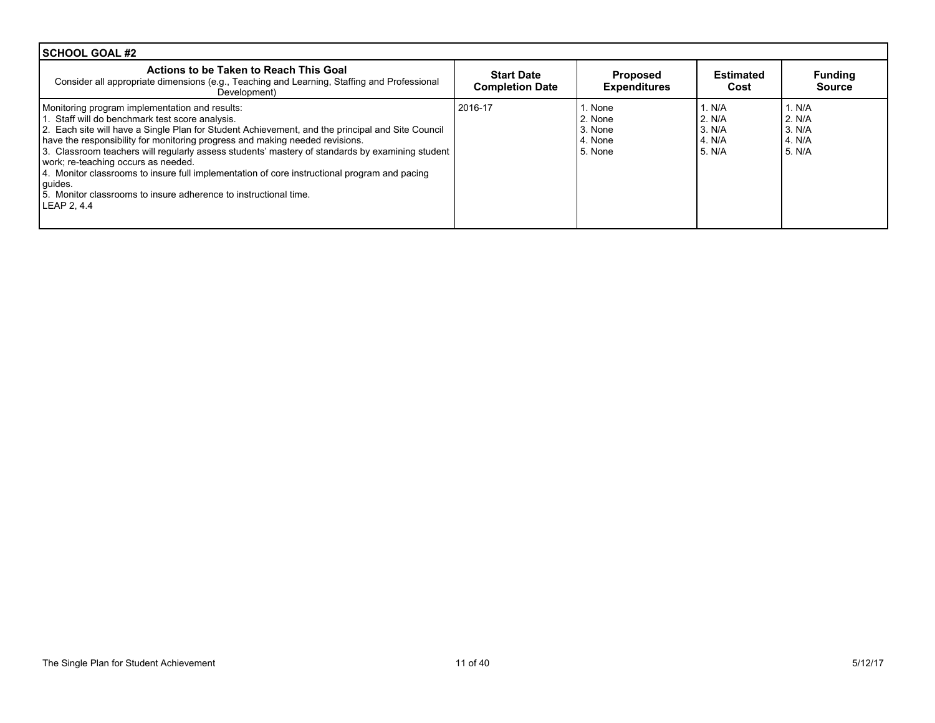| <b>ISCHOOL GOAL #2</b>                                                                                                                                                                                                                                                                                                                                                                                                                                                                                                                                                                                                        |                                             |                                                       |                                                |                                                     |
|-------------------------------------------------------------------------------------------------------------------------------------------------------------------------------------------------------------------------------------------------------------------------------------------------------------------------------------------------------------------------------------------------------------------------------------------------------------------------------------------------------------------------------------------------------------------------------------------------------------------------------|---------------------------------------------|-------------------------------------------------------|------------------------------------------------|-----------------------------------------------------|
| Actions to be Taken to Reach This Goal<br>Consider all appropriate dimensions (e.g., Teaching and Learning, Staffing and Professional<br>Development)                                                                                                                                                                                                                                                                                                                                                                                                                                                                         | <b>Start Date</b><br><b>Completion Date</b> | <b>Proposed</b><br><b>Expenditures</b>                | <b>Estimated</b><br>Cost                       | <b>Funding</b><br><b>Source</b>                     |
| Monitoring program implementation and results:<br>1. Staff will do benchmark test score analysis.<br>2. Each site will have a Single Plan for Student Achievement, and the principal and Site Council<br>have the responsibility for monitoring progress and making needed revisions.<br>3. Classroom teachers will requiarly assess students' mastery of standards by examining student<br>work; re-teaching occurs as needed.<br>4. Monitor classrooms to insure full implementation of core instructional program and pacing<br>guides.<br>5. Monitor classrooms to insure adherence to instructional time.<br>LEAP 2, 4.4 | 2016-17                                     | 1. None<br>2. None<br>3. None<br>l 4. None<br>5. None | 1. N/A<br>2. N/A<br>3. N/A<br>4. N/A<br>5. N/A | 1. N/A<br>2. N/A<br>l 3. N/A<br>14. N/A<br>l 5. N/A |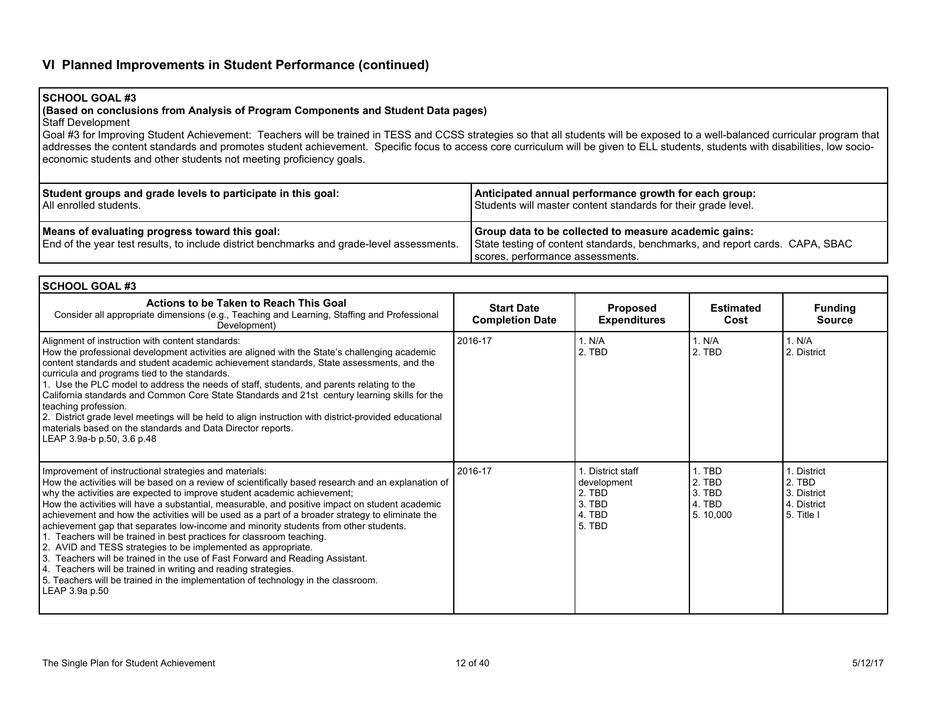# **VI Planned Improvements in Student Performance (continued)**

## **SCHOOL GOAL #3**

### **(Based on conclusions from Analysis of Program Components and Student Data pages)**

Staff Development

Goal #3 for Improving Student Achievement: Teachers will be trained in TESS and CCSS strategies so that all students will be exposed to a well-balanced curricular program that addresses the content standards and promotes student achievement. Specific focus to access core curriculum will be given to ELL students, students with disabilities, low socioeconomic students and other students not meeting proficiency goals.

| Student groups and grade levels to participate in this goal:                                                                                  | Anticipated annual performance growth for each group:                                                                                                                     |
|-----------------------------------------------------------------------------------------------------------------------------------------------|---------------------------------------------------------------------------------------------------------------------------------------------------------------------------|
| I All enrolled students.                                                                                                                      | Students will master content standards for their grade level.                                                                                                             |
| Means of evaluating progress toward this goal:<br>  End of the year test results, to include district benchmarks and grade-level assessments. | Group data to be collected to measure academic gains:<br>State testing of content standards, benchmarks, and report cards. CAPA, SBAC<br>scores, performance assessments. |

| <b>SCHOOL GOAL #3</b>                                                                                                                                                                                                                                                                                                                                                                                                                                                                                                                                                                                                                                                                                                                                                                                                                                                                                                                        |                                             |                                                                       |                                                  |                                                                   |
|----------------------------------------------------------------------------------------------------------------------------------------------------------------------------------------------------------------------------------------------------------------------------------------------------------------------------------------------------------------------------------------------------------------------------------------------------------------------------------------------------------------------------------------------------------------------------------------------------------------------------------------------------------------------------------------------------------------------------------------------------------------------------------------------------------------------------------------------------------------------------------------------------------------------------------------------|---------------------------------------------|-----------------------------------------------------------------------|--------------------------------------------------|-------------------------------------------------------------------|
| Actions to be Taken to Reach This Goal<br>Consider all appropriate dimensions (e.g., Teaching and Learning, Staffing and Professional<br>Development)                                                                                                                                                                                                                                                                                                                                                                                                                                                                                                                                                                                                                                                                                                                                                                                        | <b>Start Date</b><br><b>Completion Date</b> | <b>Proposed</b><br><b>Expenditures</b>                                | <b>Estimated</b><br>Cost                         | <b>Funding</b><br><b>Source</b>                                   |
| Alignment of instruction with content standards:<br>How the professional development activities are aligned with the State's challenging academic<br>content standards and student academic achievement standards, State assessments, and the<br>curricula and programs tied to the standards.<br>1. Use the PLC model to address the needs of staff, students, and parents relating to the<br>California standards and Common Core State Standards and 21st century learning skills for the<br>teaching profession.<br>2. District grade level meetings will be held to align instruction with district-provided educational<br>materials based on the standards and Data Director reports.<br>LEAP 3.9a-b p.50, 3.6 p.48                                                                                                                                                                                                                   | 2016-17                                     | 1. N/A<br>2. TBD                                                      | 1. N/A<br>2. TBD                                 | 1. N/A<br>2. District                                             |
| Improvement of instructional strategies and materials:<br>How the activities will be based on a review of scientifically based research and an explanation of<br>why the activities are expected to improve student academic achievement;<br>How the activities will have a substantial, measurable, and positive impact on student academic<br>achievement and how the activities will be used as a part of a broader strategy to eliminate the<br>achievement gap that separates low-income and minority students from other students.<br>1. Teachers will be trained in best practices for classroom teaching.<br>2. AVID and TESS strategies to be implemented as appropriate.<br>3. Teachers will be trained in the use of Fast Forward and Reading Assistant.<br>4. Teachers will be trained in writing and reading strategies.<br>5. Teachers will be trained in the implementation of technology in the classroom.<br>LEAP 3.9a p.50 | 2016-17                                     | District staff<br>development<br>2. TBD<br>3. TBD<br>4. TBD<br>5. TBD | 1. TBD<br>2. TBD<br>3. TBD<br>4. TBD<br>5.10,000 | 1. District<br>2. TBD<br>3. District<br>4. District<br>5. Title I |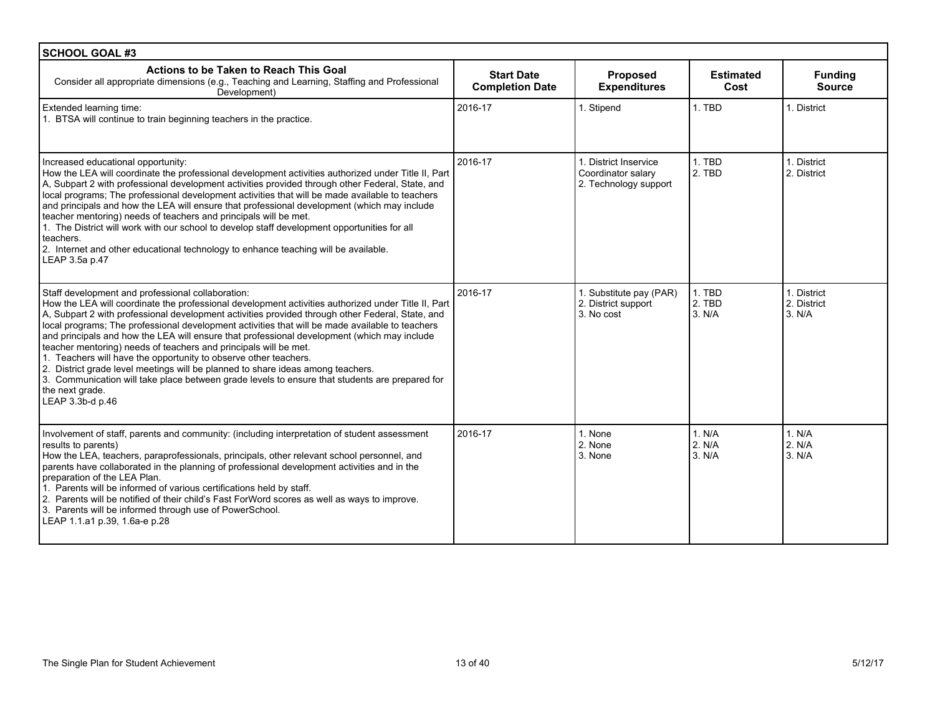| <b>SCHOOL GOAL #3</b>                                                                                                                                                                                                                                                                                                                                                                                                                                                                                                                                                                                                                                                                                                                                                                                                              |                                             |                                                                      |                            |                                      |
|------------------------------------------------------------------------------------------------------------------------------------------------------------------------------------------------------------------------------------------------------------------------------------------------------------------------------------------------------------------------------------------------------------------------------------------------------------------------------------------------------------------------------------------------------------------------------------------------------------------------------------------------------------------------------------------------------------------------------------------------------------------------------------------------------------------------------------|---------------------------------------------|----------------------------------------------------------------------|----------------------------|--------------------------------------|
| Actions to be Taken to Reach This Goal<br>Consider all appropriate dimensions (e.g., Teaching and Learning, Staffing and Professional<br>Development)                                                                                                                                                                                                                                                                                                                                                                                                                                                                                                                                                                                                                                                                              | <b>Start Date</b><br><b>Completion Date</b> | Proposed<br><b>Expenditures</b>                                      | <b>Estimated</b><br>Cost   | <b>Funding</b><br><b>Source</b>      |
| Extended learning time:<br>1. BTSA will continue to train beginning teachers in the practice.                                                                                                                                                                                                                                                                                                                                                                                                                                                                                                                                                                                                                                                                                                                                      | 2016-17                                     | 1. Stipend                                                           | 1. TBD                     | 1. District                          |
| Increased educational opportunity:<br>How the LEA will coordinate the professional development activities authorized under Title II, Part<br>A. Subpart 2 with professional development activities provided through other Federal, State, and<br>local programs; The professional development activities that will be made available to teachers<br>and principals and how the LEA will ensure that professional development (which may include<br>teacher mentoring) needs of teachers and principals will be met.<br>1. The District will work with our school to develop staff development opportunities for all<br>teachers.<br>2. Internet and other educational technology to enhance teaching will be available.<br>LEAP 3.5a p.47                                                                                          | 2016-17                                     | 1. District Inservice<br>Coordinator salary<br>2. Technology support | 1. TBD<br>2. TBD           | 1. District<br>2. District           |
| Staff development and professional collaboration:<br>How the LEA will coordinate the professional development activities authorized under Title II, Part<br>A, Subpart 2 with professional development activities provided through other Federal, State, and<br>local programs; The professional development activities that will be made available to teachers<br>and principals and how the LEA will ensure that professional development (which may include<br>teacher mentoring) needs of teachers and principals will be met.<br>1. Teachers will have the opportunity to observe other teachers.<br>2. District grade level meetings will be planned to share ideas among teachers.<br>3. Communication will take place between grade levels to ensure that students are prepared for<br>the next grade.<br>LEAP 3.3b-d p.46 | 2016-17                                     | 1. Substitute pay (PAR)<br>2. District support<br>3. No cost         | 1. TBD<br>2. TBD<br>3. N/A | 1. District<br>2. District<br>3. N/A |
| Involvement of staff, parents and community: (including interpretation of student assessment<br>results to parents)<br>How the LEA, teachers, paraprofessionals, principals, other relevant school personnel, and<br>parents have collaborated in the planning of professional development activities and in the<br>preparation of the LEA Plan.<br>1. Parents will be informed of various certifications held by staff.<br>2. Parents will be notified of their child's Fast ForWord scores as well as ways to improve.<br>3. Parents will be informed through use of PowerSchool.<br>LEAP 1.1.a1 p.39, 1.6a-e p.28                                                                                                                                                                                                               | 2016-17                                     | 1. None<br>2. None<br>3. None                                        | 1. N/A<br>2. N/A<br>3. N/A | 1. N/A<br>2. N/A<br>3. N/A           |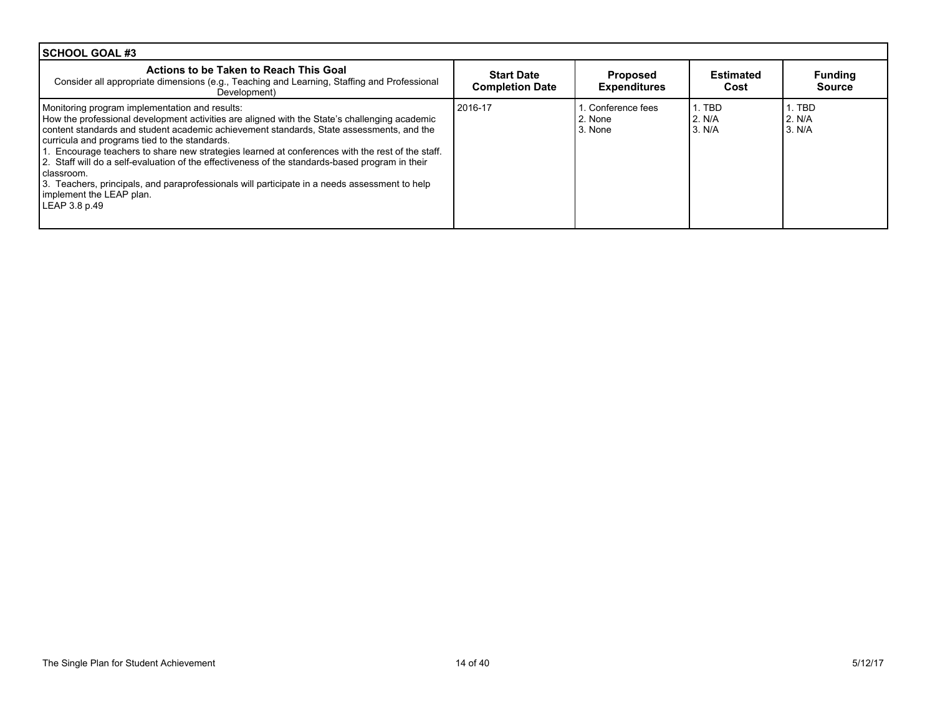| l SCHOOL GOAL #3                                                                                                                                                                                                                                                                                                                                                                                                                                                                                                                                                                                                                                                |                                             |                                        |                            |                                 |
|-----------------------------------------------------------------------------------------------------------------------------------------------------------------------------------------------------------------------------------------------------------------------------------------------------------------------------------------------------------------------------------------------------------------------------------------------------------------------------------------------------------------------------------------------------------------------------------------------------------------------------------------------------------------|---------------------------------------------|----------------------------------------|----------------------------|---------------------------------|
| Actions to be Taken to Reach This Goal<br>Consider all appropriate dimensions (e.g., Teaching and Learning, Staffing and Professional<br>Development)                                                                                                                                                                                                                                                                                                                                                                                                                                                                                                           | <b>Start Date</b><br><b>Completion Date</b> | <b>Proposed</b><br><b>Expenditures</b> | Estimated<br>Cost          | <b>Funding</b><br><b>Source</b> |
| Monitoring program implementation and results:<br>How the professional development activities are aligned with the State's challenging academic<br>content standards and student academic achievement standards. State assessments, and the<br>curricula and programs tied to the standards.<br>1. Encourage teachers to share new strategies learned at conferences with the rest of the staff.<br>2. Staff will do a self-evaluation of the effectiveness of the standards-based program in their<br>classroom.<br>3. Teachers, principals, and paraprofessionals will participate in a needs assessment to help<br>implement the LEAP plan.<br>LEAP 3.8 p.49 | 2016-17                                     | Conference fees<br>2. None<br>3. None  | 1. TBD<br>2. N/A<br>3. N/A | 1. TBD<br>2. N/A<br>l 3. N/A    |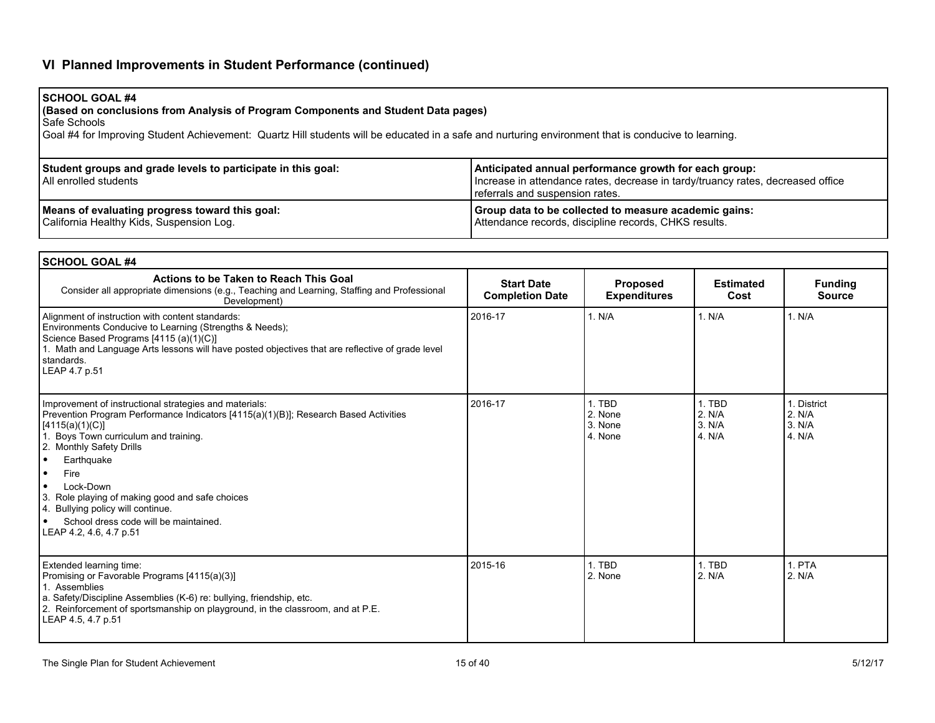# **VI Planned Improvements in Student Performance (continued)**

## **SCHOOL GOAL #4**

**(Based on conclusions from Analysis of Program Components and Student Data pages)**

Safe Schools

Goal #4 for Improving Student Achievement: Quartz Hill students will be educated in a safe and nurturing environment that is conducive to learning.

| Student groups and grade levels to participate in this goal:<br>l All enrolled students | Anticipated annual performance growth for each group:<br>Increase in attendance rates, decrease in tardy/truancy rates, decreased office<br>referrals and suspension rates. |
|-----------------------------------------------------------------------------------------|-----------------------------------------------------------------------------------------------------------------------------------------------------------------------------|
| Means of evaluating progress toward this goal:                                          | Group data to be collected to measure academic gains:                                                                                                                       |
| California Healthy Kids, Suspension Log.                                                | Attendance records, discipline records, CHKS results.                                                                                                                       |

| <b>SCHOOL GOAL #4</b>                                                                                                                                                                                                                                                                                                                                                                                                                                             |                                             |                                         |                                      |                                           |
|-------------------------------------------------------------------------------------------------------------------------------------------------------------------------------------------------------------------------------------------------------------------------------------------------------------------------------------------------------------------------------------------------------------------------------------------------------------------|---------------------------------------------|-----------------------------------------|--------------------------------------|-------------------------------------------|
| Actions to be Taken to Reach This Goal<br>Consider all appropriate dimensions (e.g., Teaching and Learning, Staffing and Professional<br>Development)                                                                                                                                                                                                                                                                                                             | <b>Start Date</b><br><b>Completion Date</b> | <b>Proposed</b><br><b>Expenditures</b>  | <b>Estimated</b><br>Cost             | <b>Funding</b><br><b>Source</b>           |
| Alignment of instruction with content standards:<br>Environments Conducive to Learning (Strengths & Needs);<br>Science Based Programs [4115 (a)(1)(C)]<br>1. Math and Language Arts lessons will have posted objectives that are reflective of grade level<br>standards.<br>LEAP 4.7 p.51                                                                                                                                                                         | 2016-17                                     | 1. N/A                                  | 1. N/A                               | 1. N/A                                    |
| Improvement of instructional strategies and materials:<br>Prevention Program Performance Indicators [4115(a)(1)(B)]; Research Based Activities<br>[4115(a)(1)(C)]<br>Boys Town curriculum and training.<br>2. Monthly Safety Drills<br>Earthquake<br>∣•<br>Fire<br>I۰<br>Lock-Down<br>∣•<br>3. Role playing of making good and safe choices<br>4. Bullying policy will continue.<br>School dress code will be maintained.<br>$\bullet$<br>LEAP 4.2, 4.6, 4.7 p.51 | 2016-17                                     | 1. TBD<br>2. None<br>3. None<br>4. None | 1. TBD<br>2. N/A<br>3. N/A<br>4. N/A | 1. District<br>2. N/A<br>3. N/A<br>4. N/A |
| Extended learning time:<br>Promising or Favorable Programs [4115(a)(3)]<br>1. Assemblies<br>a. Safety/Discipline Assemblies (K-6) re: bullying, friendship, etc.<br>2. Reinforcement of sportsmanship on playground, in the classroom, and at P.E.<br>LEAP 4.5, 4.7 p.51                                                                                                                                                                                          | 2015-16                                     | 1. TBD<br>2. None                       | 1. TBD<br>2. N/A                     | 1. PTA<br>2. N/A                          |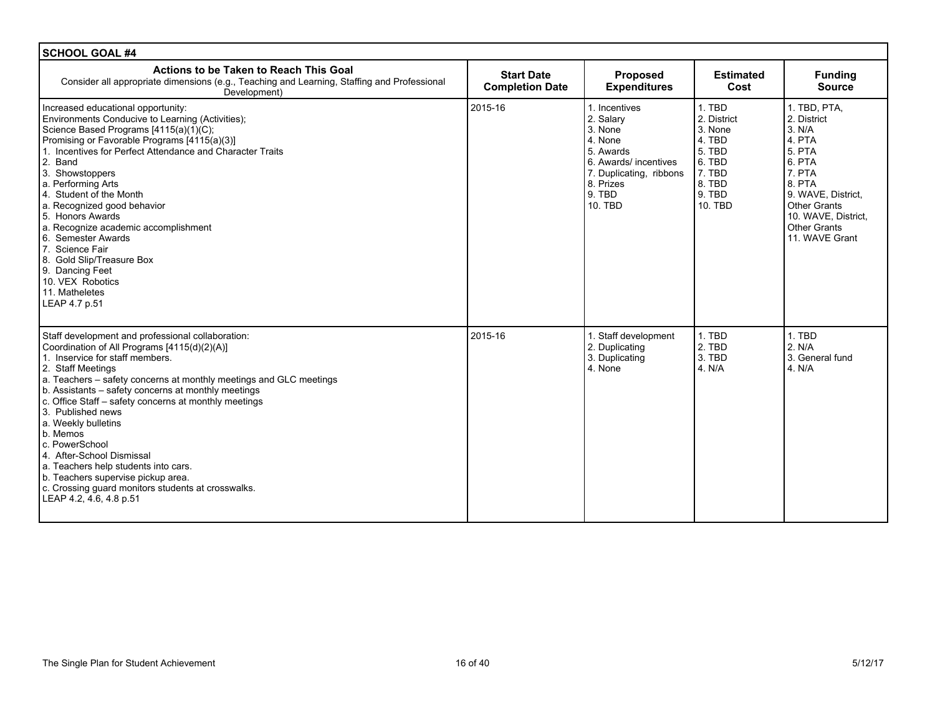| <b>SCHOOL GOAL #4</b>                                                                                                                                                                                                                                                                                                                                                                                                                                                                                                                                                                                                 |                                             |                                                                                                                                                            |                                                                                                         |                                                                                                                                                                                                             |
|-----------------------------------------------------------------------------------------------------------------------------------------------------------------------------------------------------------------------------------------------------------------------------------------------------------------------------------------------------------------------------------------------------------------------------------------------------------------------------------------------------------------------------------------------------------------------------------------------------------------------|---------------------------------------------|------------------------------------------------------------------------------------------------------------------------------------------------------------|---------------------------------------------------------------------------------------------------------|-------------------------------------------------------------------------------------------------------------------------------------------------------------------------------------------------------------|
| <b>Actions to be Taken to Reach This Goal</b><br>Consider all appropriate dimensions (e.g., Teaching and Learning, Staffing and Professional<br>Development)                                                                                                                                                                                                                                                                                                                                                                                                                                                          | <b>Start Date</b><br><b>Completion Date</b> | Proposed<br><b>Expenditures</b>                                                                                                                            | <b>Estimated</b><br>Cost                                                                                | <b>Funding</b><br><b>Source</b>                                                                                                                                                                             |
| Increased educational opportunity:<br>Environments Conducive to Learning (Activities);<br>Science Based Programs [4115(a)(1)(C);<br>Promising or Favorable Programs [4115(a)(3)]<br>1. Incentives for Perfect Attendance and Character Traits<br>2. Band<br>3. Showstoppers<br>a. Performing Arts<br>4. Student of the Month<br>a. Recognized good behavior<br>5. Honors Awards<br>a. Recognize academic accomplishment<br>6. Semester Awards<br>7. Science Fair<br>8. Gold Slip/Treasure Box<br>9. Dancing Feet<br>10. VEX Robotics<br>11. Matheletes<br>LEAP 4.7 p.51                                               | 2015-16                                     | 1. Incentives<br>2. Salary<br>3. None<br>4. None<br>5. Awards<br>6. Awards/ incentives<br>7. Duplicating, ribbons<br>8. Prizes<br>9. TBD<br><b>10. TBD</b> | 1. TBD<br>2. District<br>3. None<br>4. TBD<br>5. TBD<br>6. TBD<br>7. TBD<br>8. TBD<br>9. TBD<br>10. TBD | 1. TBD, PTA,<br>2. District<br>3. N/A<br>4. PTA<br><b>5. PTA</b><br>6. PTA<br>7. PTA<br>8. PTA<br>9. WAVE, District.<br><b>Other Grants</b><br>10. WAVE, District,<br><b>Other Grants</b><br>11. WAVE Grant |
| Staff development and professional collaboration:<br>Coordination of All Programs [4115(d)(2)(A)]<br>1. Inservice for staff members.<br>2. Staff Meetings<br>a. Teachers – safety concerns at monthly meetings and GLC meetings<br>b. Assistants – safety concerns at monthly meetings<br>c. Office Staff - safety concerns at monthly meetings<br>3. Published news<br>a. Weekly bulletins<br>b. Memos<br>c. PowerSchool<br>4. After-School Dismissal<br>a. Teachers help students into cars.<br>b. Teachers supervise pickup area.<br>c. Crossing guard monitors students at crosswalks.<br>LEAP 4.2, 4.6, 4.8 p.51 | 2015-16                                     | 1. Staff development<br>2. Duplicating<br>3. Duplicating<br>4. None                                                                                        | 1. TBD<br>2. TBD<br>3. TBD<br>4. N/A                                                                    | 1. TBD<br>2. N/A<br>3. General fund<br>4. N/A                                                                                                                                                               |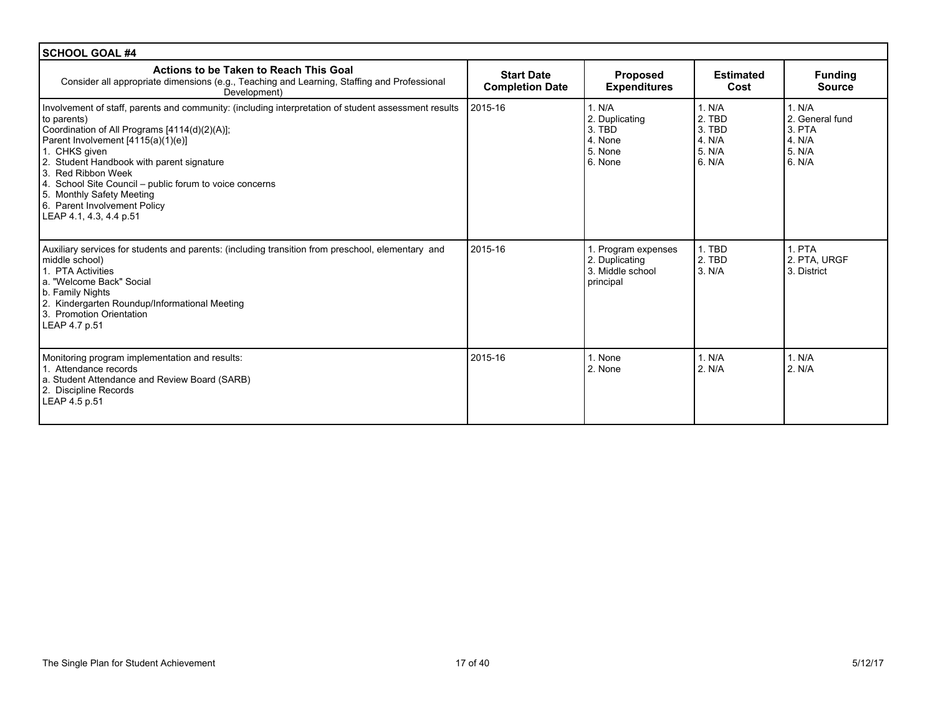| <b>SCHOOL GOAL #4</b>                                                                                                                                                                                                                                                                                                                                                                                                                             |                                             |                                                                        |                                                          |                                                                        |
|---------------------------------------------------------------------------------------------------------------------------------------------------------------------------------------------------------------------------------------------------------------------------------------------------------------------------------------------------------------------------------------------------------------------------------------------------|---------------------------------------------|------------------------------------------------------------------------|----------------------------------------------------------|------------------------------------------------------------------------|
| Actions to be Taken to Reach This Goal<br>Consider all appropriate dimensions (e.g., Teaching and Learning, Staffing and Professional<br>Development)                                                                                                                                                                                                                                                                                             | <b>Start Date</b><br><b>Completion Date</b> | <b>Proposed</b><br><b>Expenditures</b>                                 | <b>Estimated</b><br>Cost                                 | <b>Funding</b><br><b>Source</b>                                        |
| Involvement of staff, parents and community: (including interpretation of student assessment results<br>to parents)<br>Coordination of All Programs [4114(d)(2)(A)];<br>Parent Involvement [4115(a)(1)(e)]<br>1. CHKS given<br>2. Student Handbook with parent signature<br>3. Red Ribbon Week<br>4. School Site Council – public forum to voice concerns<br>5. Monthly Safety Meeting<br>6. Parent Involvement Policy<br>LEAP 4.1, 4.3, 4.4 p.51 | 2015-16                                     | 1. N/A<br>2. Duplicating<br>3. TBD<br>4. None<br>5. None<br>6. None    | 1. N/A<br>2. TBD<br>3. TBD<br>4. N/A<br>5. N/A<br>6. N/A | 1. N/A<br>2. General fund<br>$3.$ PTA<br>$4$ , N/A<br>5. N/A<br>6. N/A |
| Auxiliary services for students and parents: (including transition from preschool, elementary and<br>middle school)<br>1. PTA Activities<br>a. "Welcome Back" Social<br>b. Family Nights<br>2. Kindergarten Roundup/Informational Meeting<br>3. Promotion Orientation<br>LEAP 4.7 p.51                                                                                                                                                            | 2015-16                                     | 1. Program expenses<br>2. Duplicating<br>3. Middle school<br>principal | 1. TBD<br>2. TBD<br>3. N/A                               | 1. PTA<br>2. PTA. URGF<br>3. District                                  |
| Monitoring program implementation and results:<br>1. Attendance records<br>a. Student Attendance and Review Board (SARB)<br>2. Discipline Records<br>LEAP 4.5 p.51                                                                                                                                                                                                                                                                                | 2015-16                                     | 1. None<br>2. None                                                     | 1. N/A<br>2. N/A                                         | 1. N/A<br>2. N/A                                                       |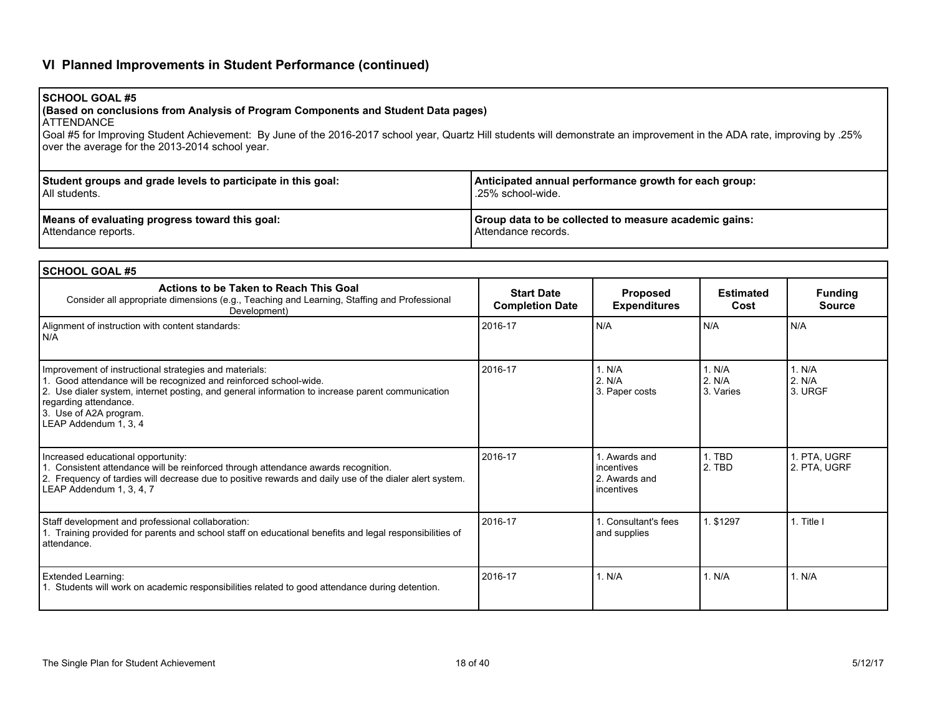# **VI Planned Improvements in Student Performance (continued)**

**(Based on conclusions from Analysis of Program Components and Student Data pages)**

| <b>ATTENDANCE</b><br>Goal #5 for Improving Student Achievement: By June of the 2016-2017 school year, Quartz Hill students will demonstrate an improvement in the ADA rate, improving by .25%<br>over the average for the 2013-2014 school year.                                                            |                                                                              |                                                            |                               |                                 |  |  |  |
|-------------------------------------------------------------------------------------------------------------------------------------------------------------------------------------------------------------------------------------------------------------------------------------------------------------|------------------------------------------------------------------------------|------------------------------------------------------------|-------------------------------|---------------------------------|--|--|--|
| Student groups and grade levels to participate in this goal:<br>All students.                                                                                                                                                                                                                               | Anticipated annual performance growth for each group:<br>.25% school-wide.   |                                                            |                               |                                 |  |  |  |
| Means of evaluating progress toward this goal:<br>Attendance reports.                                                                                                                                                                                                                                       | Group data to be collected to measure academic gains:<br>Attendance records. |                                                            |                               |                                 |  |  |  |
| <b>SCHOOL GOAL #5</b>                                                                                                                                                                                                                                                                                       |                                                                              |                                                            |                               |                                 |  |  |  |
| Actions to be Taken to Reach This Goal<br>Consider all appropriate dimensions (e.g., Teaching and Learning, Staffing and Professional<br>Development)                                                                                                                                                       | <b>Start Date</b><br><b>Completion Date</b>                                  | Proposed<br><b>Expenditures</b>                            | <b>Estimated</b><br>Cost      | <b>Funding</b><br><b>Source</b> |  |  |  |
| Alignment of instruction with content standards:<br>N/A                                                                                                                                                                                                                                                     | 2016-17                                                                      | N/A                                                        | N/A                           | N/A                             |  |  |  |
| Improvement of instructional strategies and materials:<br>1. Good attendance will be recognized and reinforced school-wide.<br>2. Use dialer system, internet posting, and general information to increase parent communication<br>regarding attendance.<br>3. Use of A2A program.<br>LEAP Addendum 1, 3, 4 | 2016-17                                                                      | 1. N/A<br>2. N/A<br>3. Paper costs                         | 1. N/A<br>2. N/A<br>3. Varies | 1. N/A<br>2. N/A<br>3. URGF     |  |  |  |
| Increased educational opportunity:<br>1. Consistent attendance will be reinforced through attendance awards recognition.<br>2. Frequency of tardies will decrease due to positive rewards and daily use of the dialer alert system.<br>LEAP Addendum 1, 3, 4, 7                                             | 2016-17                                                                      | 1. Awards and<br>incentives<br>2. Awards and<br>incentives | 1. TBD<br>2. TBD              | 1. PTA, UGRF<br>2. PTA, UGRF    |  |  |  |
| Staff development and professional collaboration:<br>1. Training provided for parents and school staff on educational benefits and legal responsibilities of<br>attendance.                                                                                                                                 | 2016-17                                                                      | 1. Consultant's fees<br>and supplies                       | 1. \$1297                     | 1. Title I                      |  |  |  |
| <b>Extended Learning:</b><br>1. Students will work on academic responsibilities related to good attendance during detention.                                                                                                                                                                                | 2016-17                                                                      | 1. N/A                                                     | 1. N/A                        | 1. N/A                          |  |  |  |

**SCHOOL GOAL #5**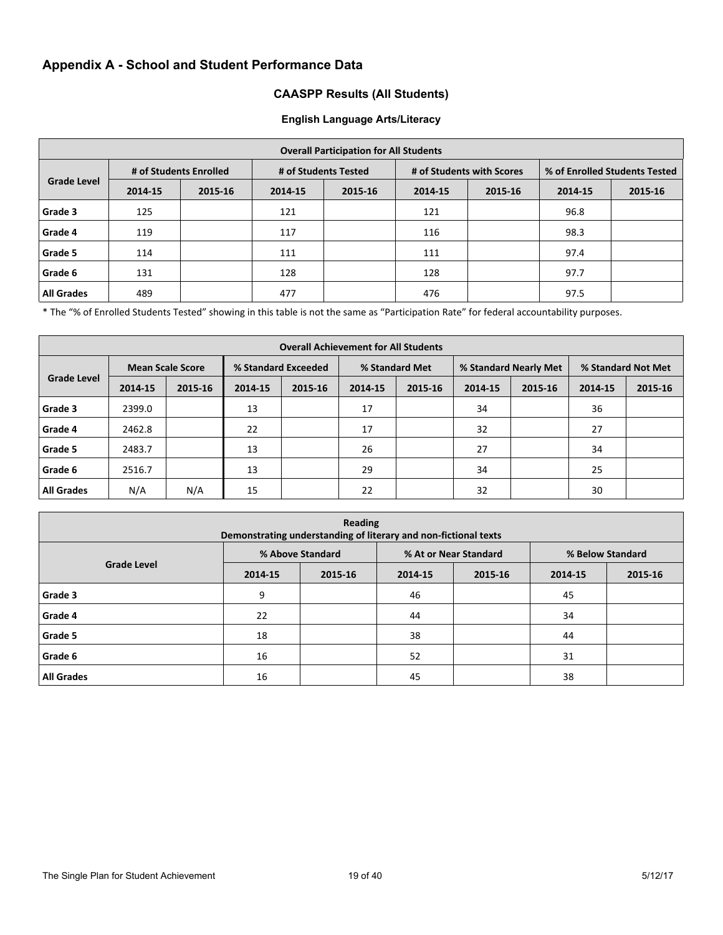# **Appendix A - School and Student Performance Data**

### **CAASPP Results (All Students)**

#### **English Language Arts/Literacy**

| <b>Overall Participation for All Students</b> |                        |         |                      |         |                           |         |                               |         |  |  |  |
|-----------------------------------------------|------------------------|---------|----------------------|---------|---------------------------|---------|-------------------------------|---------|--|--|--|
| <b>Grade Level</b>                            | # of Students Enrolled |         | # of Students Tested |         | # of Students with Scores |         | % of Enrolled Students Tested |         |  |  |  |
|                                               | 2014-15                | 2015-16 | 2014-15              | 2015-16 | 2014-15                   | 2015-16 | 2014-15                       | 2015-16 |  |  |  |
| Grade 3                                       | 125                    |         | 121                  |         | 121                       |         | 96.8                          |         |  |  |  |
| Grade 4                                       | 119                    |         | 117                  |         | 116                       |         | 98.3                          |         |  |  |  |
| Grade 5                                       | 114                    |         | 111                  |         | 111                       |         | 97.4                          |         |  |  |  |
| Grade 6                                       | 131                    |         | 128                  |         | 128                       |         | 97.7                          |         |  |  |  |
| <b>All Grades</b>                             | 489                    |         | 477                  |         | 476                       |         | 97.5                          |         |  |  |  |

\* The "% of Enrolled Students Tested" showing in this table is not the same as "Participation Rate" for federal accountability purposes.

| <b>Overall Achievement for All Students</b> |         |                         |                     |         |                |         |                       |         |                    |         |  |  |  |
|---------------------------------------------|---------|-------------------------|---------------------|---------|----------------|---------|-----------------------|---------|--------------------|---------|--|--|--|
| <b>Grade Level</b>                          |         | <b>Mean Scale Score</b> | % Standard Exceeded |         | % Standard Met |         | % Standard Nearly Met |         | % Standard Not Met |         |  |  |  |
|                                             | 2014-15 | 2015-16                 | 2014-15             | 2015-16 | 2014-15        | 2015-16 | 2014-15               | 2015-16 | 2014-15            | 2015-16 |  |  |  |
| Grade 3                                     | 2399.0  |                         | 13                  |         | 17             |         | 34                    |         | 36                 |         |  |  |  |
| Grade 4                                     | 2462.8  |                         | 22                  |         | 17             |         | 32                    |         | 27                 |         |  |  |  |
| Grade 5                                     | 2483.7  |                         | 13                  |         | 26             |         | 27                    |         | 34                 |         |  |  |  |
| Grade 6                                     | 2516.7  |                         | 13                  |         | 29             |         | 34                    |         | 25                 |         |  |  |  |
| <b>All Grades</b>                           | N/A     | N/A                     | 15                  |         | 22             |         | 32                    |         | 30                 |         |  |  |  |

| <b>Reading</b><br>Demonstrating understanding of literary and non-fictional texts |         |                  |                       |         |                  |         |  |  |  |  |
|-----------------------------------------------------------------------------------|---------|------------------|-----------------------|---------|------------------|---------|--|--|--|--|
|                                                                                   |         | % Above Standard | % At or Near Standard |         | % Below Standard |         |  |  |  |  |
| <b>Grade Level</b>                                                                | 2014-15 | 2015-16          | 2014-15               | 2015-16 | 2014-15          | 2015-16 |  |  |  |  |
| Grade 3                                                                           | 9       |                  | 46                    |         | 45               |         |  |  |  |  |
| Grade 4                                                                           | 22      |                  | 44                    |         | 34               |         |  |  |  |  |
| Grade 5                                                                           | 18      |                  | 38                    |         | 44               |         |  |  |  |  |
| Grade 6                                                                           | 16      |                  | 52                    |         | 31               |         |  |  |  |  |
| <b>All Grades</b>                                                                 | 16      |                  | 45                    |         | 38               |         |  |  |  |  |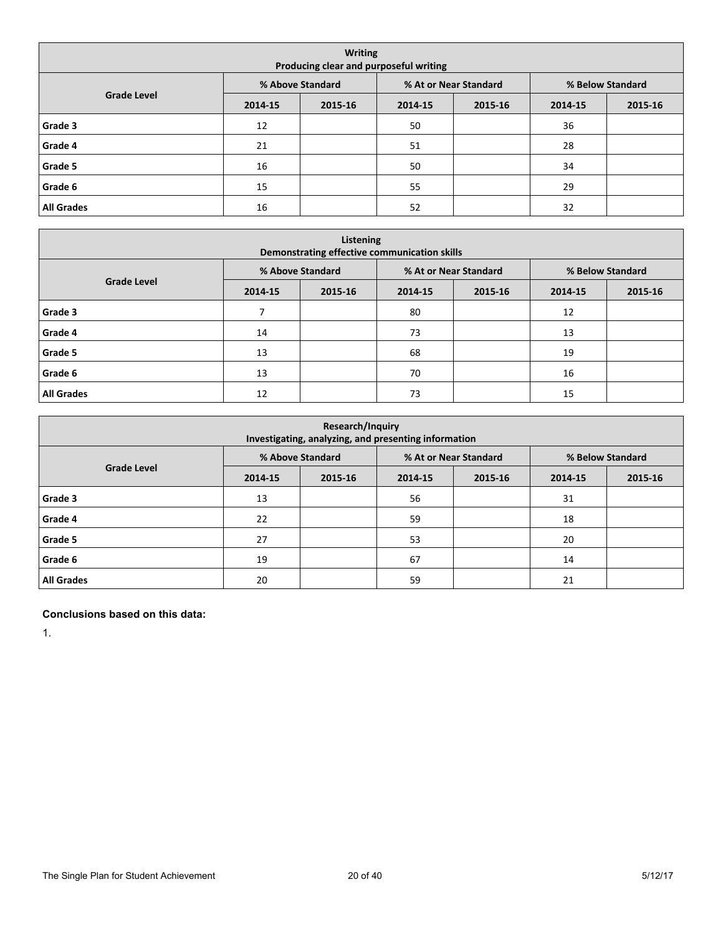| <b>Writing</b><br>Producing clear and purposeful writing |         |                  |                       |         |                  |         |  |  |  |  |  |
|----------------------------------------------------------|---------|------------------|-----------------------|---------|------------------|---------|--|--|--|--|--|
|                                                          |         | % Above Standard | % At or Near Standard |         | % Below Standard |         |  |  |  |  |  |
| <b>Grade Level</b>                                       | 2014-15 | 2015-16          | 2014-15               | 2015-16 | 2014-15          | 2015-16 |  |  |  |  |  |
| Grade 3                                                  | 12      |                  | 50                    |         | 36               |         |  |  |  |  |  |
| Grade 4                                                  | 21      |                  | 51                    |         | 28               |         |  |  |  |  |  |
| Grade 5                                                  | 16      |                  | 50                    |         | 34               |         |  |  |  |  |  |
| Grade 6                                                  | 15      |                  | 55                    |         | 29               |         |  |  |  |  |  |
| <b>All Grades</b>                                        | 16      |                  | 52                    |         | 32               |         |  |  |  |  |  |

| Listening<br>Demonstrating effective communication skills |         |                  |                       |         |                  |         |  |  |  |  |  |
|-----------------------------------------------------------|---------|------------------|-----------------------|---------|------------------|---------|--|--|--|--|--|
|                                                           |         | % Above Standard | % At or Near Standard |         | % Below Standard |         |  |  |  |  |  |
| <b>Grade Level</b>                                        | 2014-15 | 2015-16          | 2014-15               | 2015-16 | 2014-15          | 2015-16 |  |  |  |  |  |
| Grade 3                                                   |         |                  | 80                    |         | 12               |         |  |  |  |  |  |
| Grade 4                                                   | 14      |                  | 73                    |         | 13               |         |  |  |  |  |  |
| Grade 5                                                   | 13      |                  | 68                    |         | 19               |         |  |  |  |  |  |
| Grade 6                                                   | 13      |                  | 70                    |         | 16               |         |  |  |  |  |  |
| <b>All Grades</b>                                         | 12      |                  | 73                    |         | 15               |         |  |  |  |  |  |

| <b>Research/Inquiry</b><br>Investigating, analyzing, and presenting information |         |                  |         |                       |                  |         |  |  |  |  |
|---------------------------------------------------------------------------------|---------|------------------|---------|-----------------------|------------------|---------|--|--|--|--|
|                                                                                 |         | % Above Standard |         | % At or Near Standard | % Below Standard |         |  |  |  |  |
| <b>Grade Level</b>                                                              | 2014-15 | 2015-16          | 2014-15 | 2015-16               | 2014-15          | 2015-16 |  |  |  |  |
| Grade 3                                                                         | 13      |                  | 56      |                       | 31               |         |  |  |  |  |
| Grade 4                                                                         | 22      |                  | 59      |                       | 18               |         |  |  |  |  |
| Grade 5                                                                         | 27      |                  | 53      |                       | 20               |         |  |  |  |  |
| Grade 6                                                                         | 19      |                  | 67      |                       | 14               |         |  |  |  |  |
| <b>All Grades</b>                                                               | 20      |                  | 59      |                       | 21               |         |  |  |  |  |

#### **Conclusions based on this data:**

1.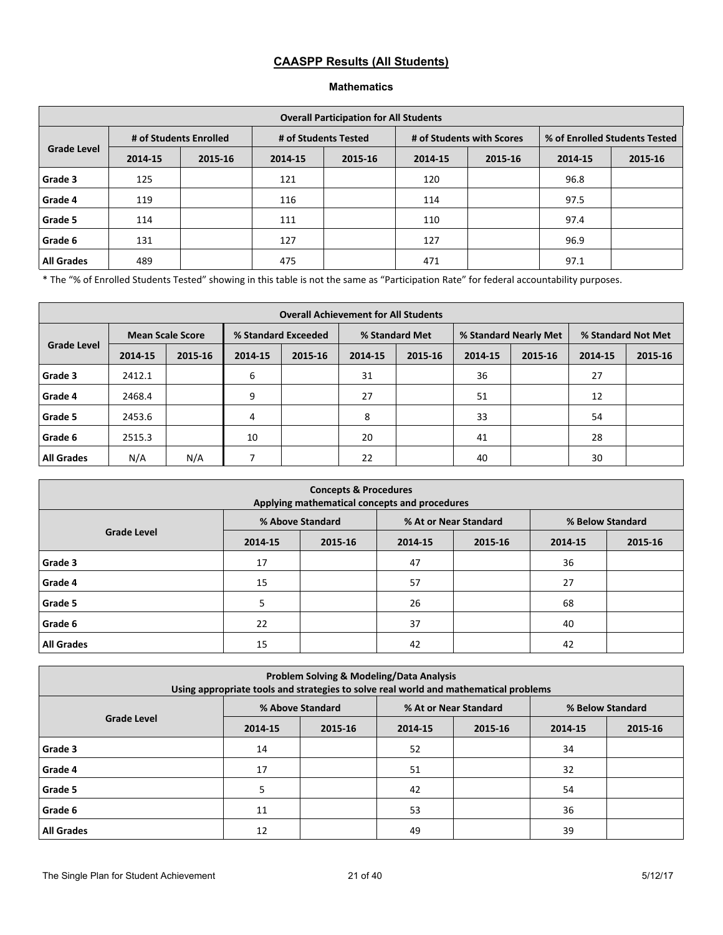# **CAASPP Results (All Students)**

#### **Mathematics**

| <b>Overall Participation for All Students</b> |                        |         |                      |         |                           |         |                               |         |  |  |
|-----------------------------------------------|------------------------|---------|----------------------|---------|---------------------------|---------|-------------------------------|---------|--|--|
|                                               | # of Students Enrolled |         | # of Students Tested |         | # of Students with Scores |         | % of Enrolled Students Tested |         |  |  |
| <b>Grade Level</b>                            | 2014-15                | 2015-16 | 2014-15              | 2015-16 | 2014-15                   | 2015-16 | 2014-15                       | 2015-16 |  |  |
| Grade 3                                       | 125                    |         | 121                  |         | 120                       |         | 96.8                          |         |  |  |
| Grade 4                                       | 119                    |         | 116                  |         | 114                       |         | 97.5                          |         |  |  |
| Grade 5                                       | 114                    |         | 111                  |         | 110                       |         | 97.4                          |         |  |  |
| Grade 6                                       | 131                    |         | 127                  |         | 127                       |         | 96.9                          |         |  |  |
| <b>All Grades</b>                             | 489                    |         | 475                  |         | 471                       |         | 97.1                          |         |  |  |

\* The "% of Enrolled Students Tested" showing in this table is not the same as "Participation Rate" for federal accountability purposes.

|                    | <b>Overall Achievement for All Students</b> |         |                     |         |                |         |         |                       |                    |         |  |  |
|--------------------|---------------------------------------------|---------|---------------------|---------|----------------|---------|---------|-----------------------|--------------------|---------|--|--|
|                    | <b>Mean Scale Score</b>                     |         | % Standard Exceeded |         | % Standard Met |         |         | % Standard Nearly Met | % Standard Not Met |         |  |  |
| <b>Grade Level</b> | 2014-15                                     | 2015-16 | 2014-15             | 2015-16 | 2014-15        | 2015-16 | 2014-15 | 2015-16               | 2014-15            | 2015-16 |  |  |
| Grade 3            | 2412.1                                      |         | 6                   |         | 31             |         | 36      |                       | 27                 |         |  |  |
| Grade 4            | 2468.4                                      |         | 9                   |         | 27             |         | 51      |                       | 12                 |         |  |  |
| Grade 5            | 2453.6                                      |         | 4                   |         | 8              |         | 33      |                       | 54                 |         |  |  |
| Grade 6            | 2515.3                                      |         | 10                  |         | 20             |         | 41      |                       | 28                 |         |  |  |
| <b>All Grades</b>  | N/A                                         | N/A     |                     |         | 22             |         | 40      |                       | 30                 |         |  |  |

| <b>Concepts &amp; Procedures</b><br>Applying mathematical concepts and procedures |         |                  |         |                       |                  |         |  |  |  |  |
|-----------------------------------------------------------------------------------|---------|------------------|---------|-----------------------|------------------|---------|--|--|--|--|
|                                                                                   |         | % Above Standard |         | % At or Near Standard | % Below Standard |         |  |  |  |  |
| <b>Grade Level</b>                                                                | 2014-15 | 2015-16          | 2014-15 | 2015-16               | 2014-15          | 2015-16 |  |  |  |  |
| Grade 3                                                                           | 17      |                  | 47      |                       | 36               |         |  |  |  |  |
| Grade 4                                                                           | 15      |                  | 57      |                       | 27               |         |  |  |  |  |
| Grade 5                                                                           | 5       |                  | 26      |                       | 68               |         |  |  |  |  |
| Grade 6                                                                           | 22      |                  | 37      |                       | 40               |         |  |  |  |  |
| <b>All Grades</b>                                                                 | 15      |                  | 42      |                       | 42               |         |  |  |  |  |

| <b>Problem Solving &amp; Modeling/Data Analysis</b><br>Using appropriate tools and strategies to solve real world and mathematical problems |         |                  |         |                       |                  |         |  |  |  |  |
|---------------------------------------------------------------------------------------------------------------------------------------------|---------|------------------|---------|-----------------------|------------------|---------|--|--|--|--|
|                                                                                                                                             |         | % Above Standard |         | % At or Near Standard | % Below Standard |         |  |  |  |  |
| <b>Grade Level</b>                                                                                                                          | 2014-15 | 2015-16          | 2014-15 | 2015-16               | 2014-15          | 2015-16 |  |  |  |  |
| Grade 3                                                                                                                                     | 14      |                  | 52      |                       | 34               |         |  |  |  |  |
| Grade 4                                                                                                                                     | 17      |                  | 51      |                       | 32               |         |  |  |  |  |
| Grade 5                                                                                                                                     |         |                  | 42      |                       | 54               |         |  |  |  |  |
| Grade 6                                                                                                                                     | 11      |                  | 53      |                       | 36               |         |  |  |  |  |
| <b>All Grades</b>                                                                                                                           | 12      |                  | 49      |                       | 39               |         |  |  |  |  |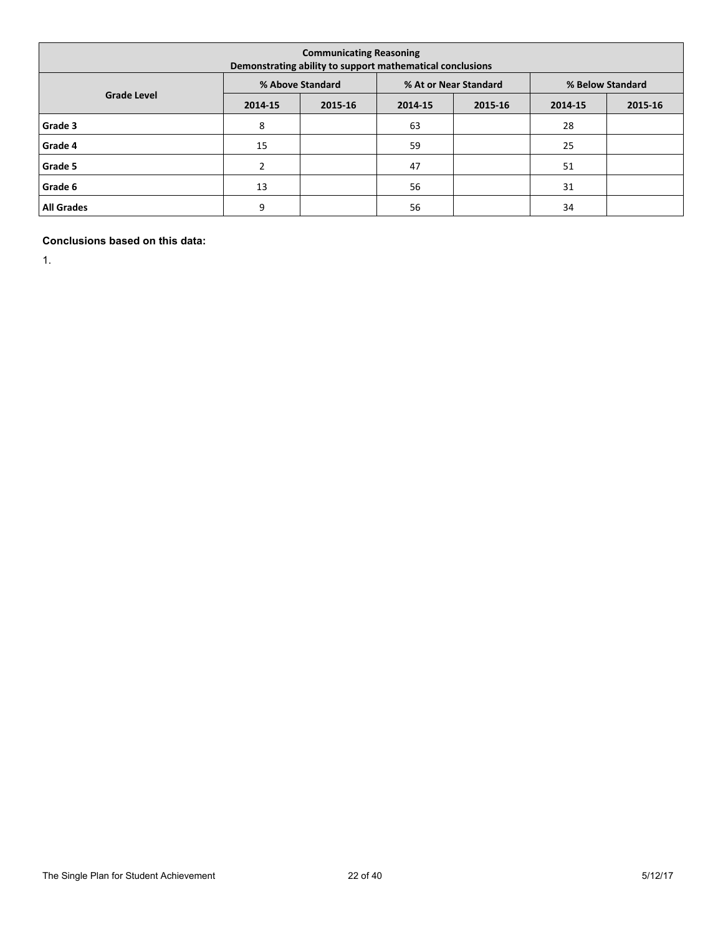| <b>Communicating Reasoning</b><br>Demonstrating ability to support mathematical conclusions |         |                  |         |                       |                  |         |  |  |  |  |
|---------------------------------------------------------------------------------------------|---------|------------------|---------|-----------------------|------------------|---------|--|--|--|--|
|                                                                                             |         | % Above Standard |         | % At or Near Standard | % Below Standard |         |  |  |  |  |
| <b>Grade Level</b>                                                                          | 2014-15 | 2015-16          | 2014-15 | 2015-16               | 2014-15          | 2015-16 |  |  |  |  |
| Grade 3                                                                                     | 8       |                  | 63      |                       | 28               |         |  |  |  |  |
| Grade 4                                                                                     | 15      |                  | 59      |                       | 25               |         |  |  |  |  |
| Grade 5                                                                                     | 2       |                  | 47      |                       | 51               |         |  |  |  |  |
| Grade 6                                                                                     | 13      |                  | 56      |                       | 31               |         |  |  |  |  |
| <b>All Grades</b>                                                                           | 9       |                  | 56      |                       | 34               |         |  |  |  |  |

**Conclusions based on this data:**

1.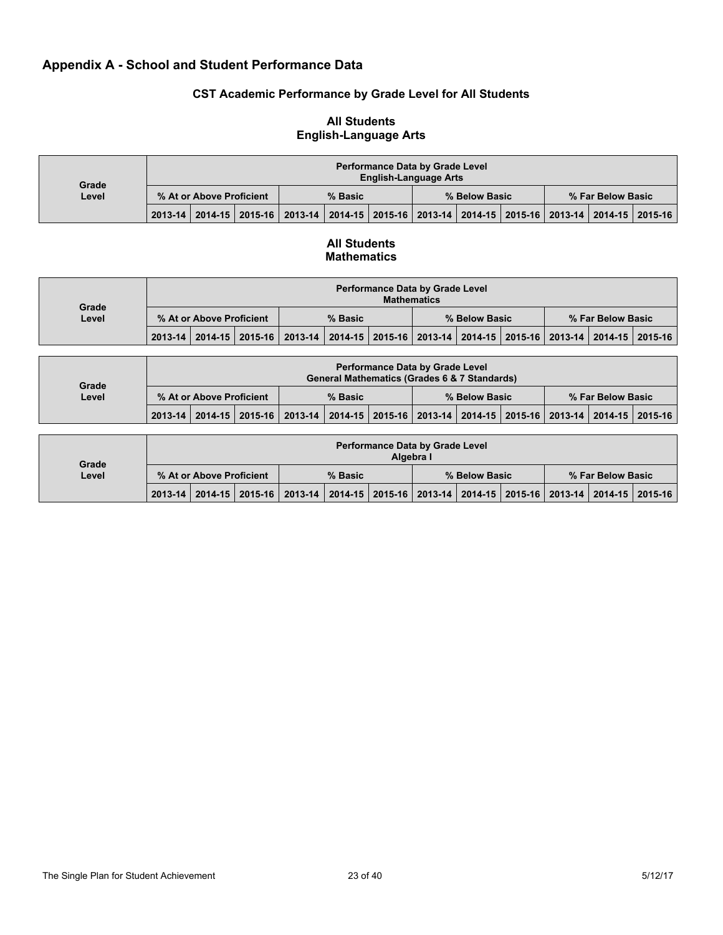# **Appendix A - School and Student Performance Data**

### **CST Academic Performance by Grade Level for All Students**

#### **Performance Data by Grade Level English-Language Arts % At or Above Proficient % Basic % Below Basic % Far Below Basic Grade Level 2013-14 2014-15 2015-16 2013-14 2014-15 2015-16 2013-14 2014-15 2015-16 2013-14 2014-15 2015-16**

### **All Students English-Language Arts**

### **All Students Mathematics**

| Grade |                          | <b>Performance Data by Grade Level</b><br><b>Mathematics</b> |  |                                                                                                 |  |         |  |               |  |                   |  |  |  |
|-------|--------------------------|--------------------------------------------------------------|--|-------------------------------------------------------------------------------------------------|--|---------|--|---------------|--|-------------------|--|--|--|
| Level | % At or Above Proficient |                                                              |  |                                                                                                 |  | % Basic |  | % Below Basic |  | % Far Below Basic |  |  |  |
|       |                          |                                                              |  | 2013-14 2014-15 2015-16 2013-14 2014-15 2015-16 2013-14 2014-15 2015-16 2013-14 2014-15 2015-16 |  |         |  |               |  |                   |  |  |  |

| Grade | <b>Performance Data by Grade Level</b><br><b>General Mathematics (Grades 6 &amp; 7 Standards)</b> |  |                                                                                                 |         |  |  |               |  |  |                   |  |  |
|-------|---------------------------------------------------------------------------------------------------|--|-------------------------------------------------------------------------------------------------|---------|--|--|---------------|--|--|-------------------|--|--|
| Level | % At or Above Proficient                                                                          |  |                                                                                                 | % Basic |  |  | % Below Basic |  |  | % Far Below Basic |  |  |
|       |                                                                                                   |  | 2013-14 2014-15 2015-16 2013-14 2014-15 2015-16 2013-14 2014-15 2015-16 2013-14 2014-15 2015-16 |         |  |  |               |  |  |                   |  |  |

| Grade |                          |  |  |                                                                                                 |  | Algebra I | <b>Performance Data by Grade Level</b> |  |               |  |  |                   |
|-------|--------------------------|--|--|-------------------------------------------------------------------------------------------------|--|-----------|----------------------------------------|--|---------------|--|--|-------------------|
| Level | % At or Above Proficient |  |  |                                                                                                 |  | % Basic   |                                        |  | % Below Basic |  |  | % Far Below Basic |
|       |                          |  |  | 2013-14 2014-15 2015-16 2013-14 2014-15 2015-16 2013-14 2014-15 2015-16 2013-14 2014-15 2015-16 |  |           |                                        |  |               |  |  |                   |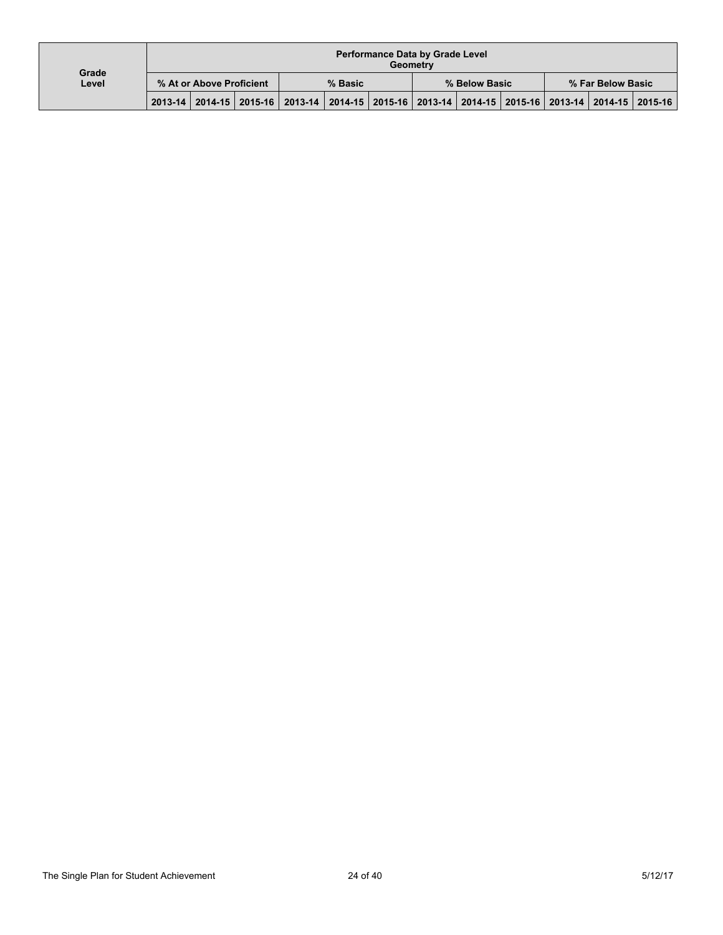| Grade | <b>Performance Data by Grade Level</b><br>Geometry |  |                                                                                                 |  |  |               |  |  |  |                   |  |  |
|-------|----------------------------------------------------|--|-------------------------------------------------------------------------------------------------|--|--|---------------|--|--|--|-------------------|--|--|
| Level | % At or Above Proficient                           |  | % Basic                                                                                         |  |  | % Below Basic |  |  |  | % Far Below Basic |  |  |
|       |                                                    |  | 2013-14 2014-15 2015-16 2013-14 2014-15 2015-16 2013-14 2014-15 2015-16 2013-14 2014-15 2015-16 |  |  |               |  |  |  |                   |  |  |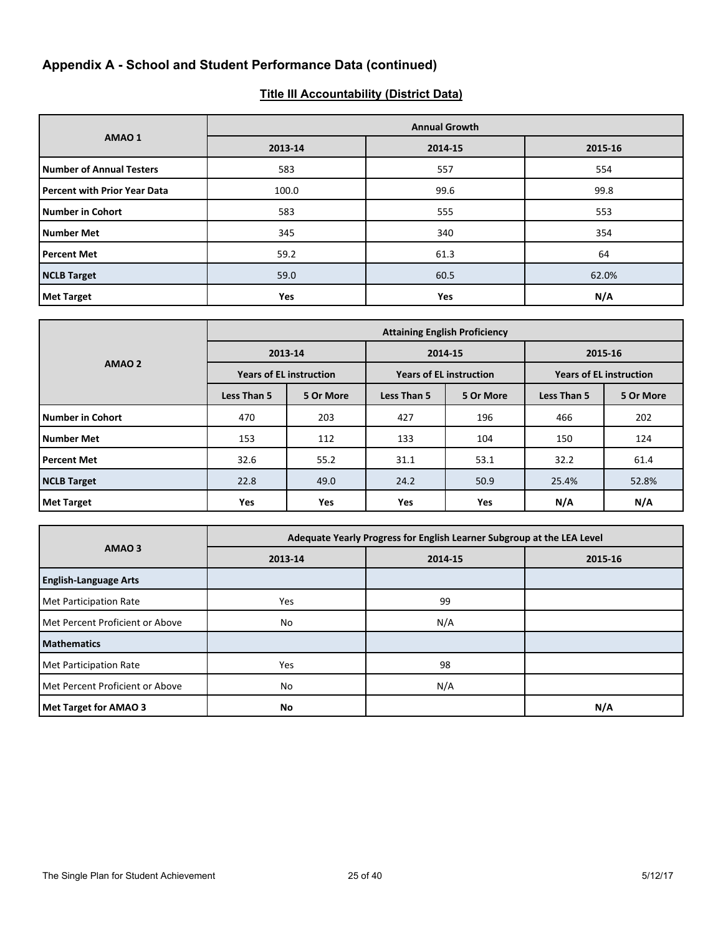# **Appendix A - School and Student Performance Data (continued)**

# **Title III Accountability (District Data)**

|                                     | <b>Annual Growth</b> |         |         |  |  |  |  |  |  |
|-------------------------------------|----------------------|---------|---------|--|--|--|--|--|--|
| AMAO 1                              | 2013-14              | 2014-15 | 2015-16 |  |  |  |  |  |  |
| <b>Number of Annual Testers</b>     | 583                  | 557     | 554     |  |  |  |  |  |  |
| <b>Percent with Prior Year Data</b> | 100.0                | 99.6    | 99.8    |  |  |  |  |  |  |
| Number in Cohort                    | 583                  | 555     | 553     |  |  |  |  |  |  |
| Number Met                          | 345                  | 340     | 354     |  |  |  |  |  |  |
| <b>Percent Met</b>                  | 59.2                 | 61.3    | 64      |  |  |  |  |  |  |
| <b>NCLB</b> Target                  | 59.0                 | 60.5    | 62.0%   |  |  |  |  |  |  |
| <b>Met Target</b>                   | Yes                  | Yes     | N/A     |  |  |  |  |  |  |

|                         |                          |                                |             | <b>Attaining English Proficiency</b> |             |                                |  |  |
|-------------------------|--------------------------|--------------------------------|-------------|--------------------------------------|-------------|--------------------------------|--|--|
|                         |                          | 2013-14                        |             | 2014-15                              | 2015-16     |                                |  |  |
| AMAO <sub>2</sub>       |                          | <b>Years of EL instruction</b> |             | <b>Years of EL instruction</b>       |             | <b>Years of EL instruction</b> |  |  |
|                         | Less Than 5              | 5 Or More                      | Less Than 5 | 5 Or More                            | Less Than 5 | 5 Or More                      |  |  |
| <b>Number in Cohort</b> | 470                      | 203                            | 427         | 196                                  | 466         | 202                            |  |  |
| <b>Number Met</b>       | 153                      | 112                            | 133         | 104                                  | 150         | 124                            |  |  |
| <b>Percent Met</b>      | 32.6                     | 55.2                           | 31.1        | 53.1                                 | 32.2        | 61.4                           |  |  |
| <b>NCLB Target</b>      | 22.8                     | 49.0                           | 24.2        | 50.9                                 | 25.4%       | 52.8%                          |  |  |
| <b>Met Target</b>       | <b>Yes</b><br><b>Yes</b> |                                | <b>Yes</b>  | Yes                                  | N/A         | N/A                            |  |  |

|                                 | Adequate Yearly Progress for English Learner Subgroup at the LEA Level |         |         |  |  |  |  |  |
|---------------------------------|------------------------------------------------------------------------|---------|---------|--|--|--|--|--|
| AMAO <sub>3</sub>               | 2013-14                                                                | 2014-15 | 2015-16 |  |  |  |  |  |
| <b>English-Language Arts</b>    |                                                                        |         |         |  |  |  |  |  |
| Met Participation Rate          | Yes                                                                    | 99      |         |  |  |  |  |  |
| Met Percent Proficient or Above | No                                                                     | N/A     |         |  |  |  |  |  |
| <b>Mathematics</b>              |                                                                        |         |         |  |  |  |  |  |
| Met Participation Rate          | Yes                                                                    | 98      |         |  |  |  |  |  |
| Met Percent Proficient or Above | No                                                                     | N/A     |         |  |  |  |  |  |
| <b>Met Target for AMAO 3</b>    | No                                                                     |         | N/A     |  |  |  |  |  |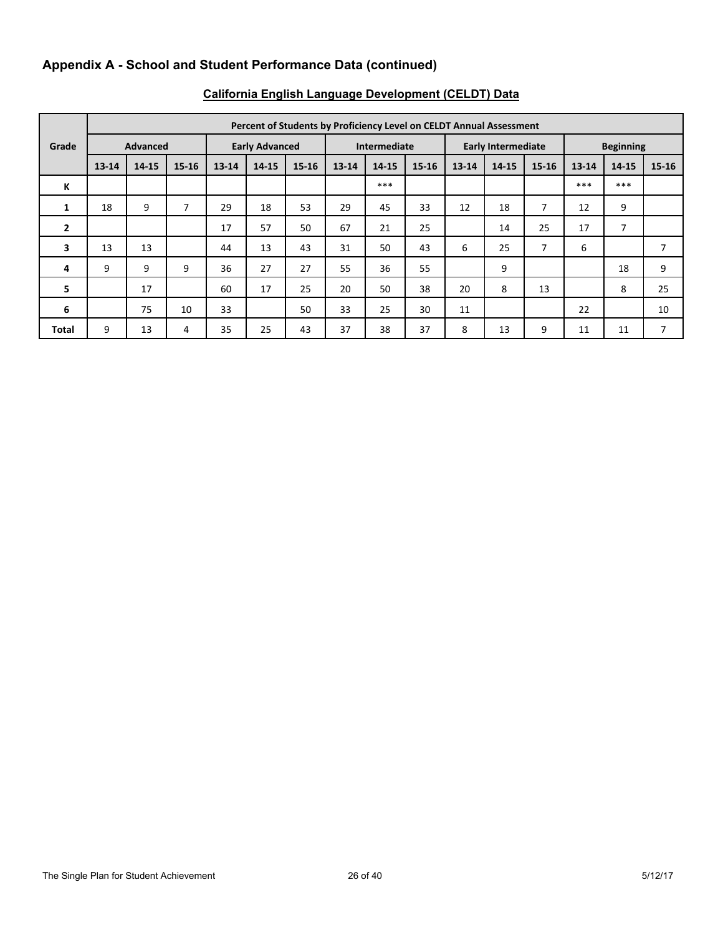# **Appendix A - School and Student Performance Data (continued)**

|              | Percent of Students by Proficiency Level on CELDT Annual Assessment |       |                       |           |              |           |                           |       |           |                  |       |           |           |       |           |
|--------------|---------------------------------------------------------------------|-------|-----------------------|-----------|--------------|-----------|---------------------------|-------|-----------|------------------|-------|-----------|-----------|-------|-----------|
| Grade        | <b>Advanced</b>                                                     |       | <b>Early Advanced</b> |           | Intermediate |           | <b>Early Intermediate</b> |       |           | <b>Beginning</b> |       |           |           |       |           |
|              | $13 - 14$                                                           | 14-15 | $15 - 16$             | $13 - 14$ | 14-15        | $15 - 16$ | $13 - 14$                 | 14-15 | $15 - 16$ | $13 - 14$        | 14-15 | $15 - 16$ | $13 - 14$ | 14-15 | $15 - 16$ |
| К            |                                                                     |       |                       |           |              |           |                           | $***$ |           |                  |       |           | ***       | $***$ |           |
| 1            | 18                                                                  | 9     | 7                     | 29        | 18           | 53        | 29                        | 45    | 33        | 12               | 18    | 7         | 12        | 9     |           |
| $\mathbf{2}$ |                                                                     |       |                       | 17        | 57           | 50        | 67                        | 21    | 25        |                  | 14    | 25        | 17        | 7     |           |
| 3            | 13                                                                  | 13    |                       | 44        | 13           | 43        | 31                        | 50    | 43        | 6                | 25    | 7         | 6         |       | 7         |
| 4            | 9                                                                   | 9     | 9                     | 36        | 27           | 27        | 55                        | 36    | 55        |                  | 9     |           |           | 18    | 9         |
| 5            |                                                                     | 17    |                       | 60        | 17           | 25        | 20                        | 50    | 38        | 20               | 8     | 13        |           | 8     | 25        |
| 6            |                                                                     | 75    | 10                    | 33        |              | 50        | 33                        | 25    | 30        | 11               |       |           | 22        |       | 10        |
| <b>Total</b> | 9                                                                   | 13    | 4                     | 35        | 25           | 43        | 37                        | 38    | 37        | 8                | 13    | 9         | 11        | 11    | 7         |

# **California English Language Development (CELDT) Data**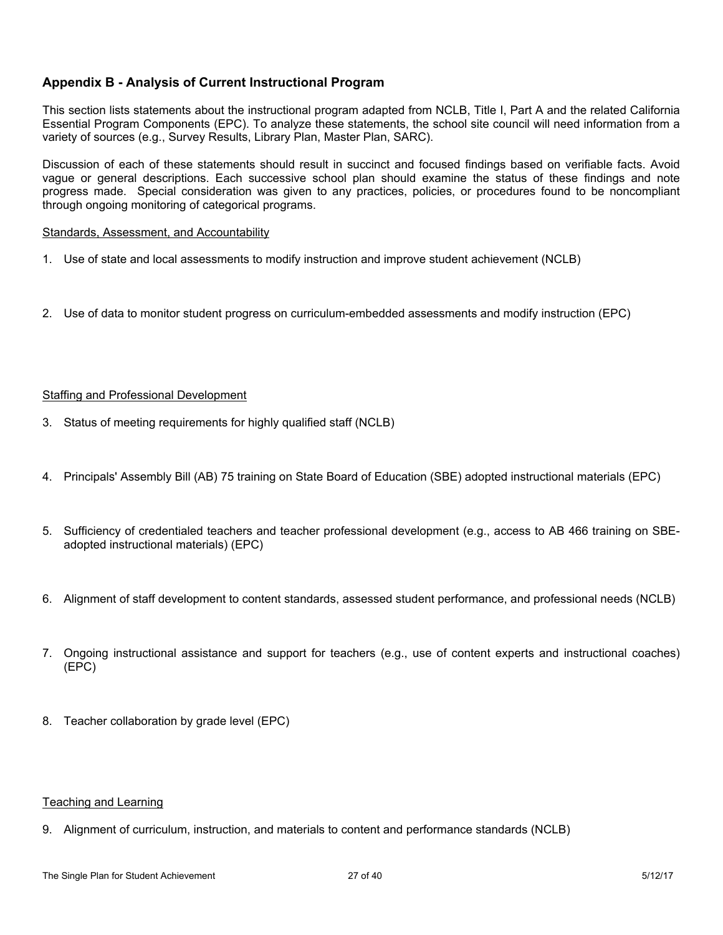# **Appendix B - Analysis of Current Instructional Program**

This section lists statements about the instructional program adapted from NCLB, Title I, Part A and the related California Essential Program Components (EPC). To analyze these statements, the school site council will need information from a variety of sources (e.g., Survey Results, Library Plan, Master Plan, SARC).

Discussion of each of these statements should result in succinct and focused findings based on verifiable facts. Avoid vague or general descriptions. Each successive school plan should examine the status of these findings and note progress made. Special consideration was given to any practices, policies, or procedures found to be noncompliant through ongoing monitoring of categorical programs.

#### Standards, Assessment, and Accountability

- 1. Use of state and local assessments to modify instruction and improve student achievement (NCLB)
- 2. Use of data to monitor student progress on curriculum-embedded assessments and modify instruction (EPC)

### Staffing and Professional Development

- 3. Status of meeting requirements for highly qualified staff (NCLB)
- 4. Principals' Assembly Bill (AB) 75 training on State Board of Education (SBE) adopted instructional materials (EPC)
- 5. Sufficiency of credentialed teachers and teacher professional development (e.g., access to AB 466 training on SBEadopted instructional materials) (EPC)
- 6. Alignment of staff development to content standards, assessed student performance, and professional needs (NCLB)
- 7. Ongoing instructional assistance and support for teachers (e.g., use of content experts and instructional coaches) (EPC)
- 8. Teacher collaboration by grade level (EPC)

### Teaching and Learning

9. Alignment of curriculum, instruction, and materials to content and performance standards (NCLB)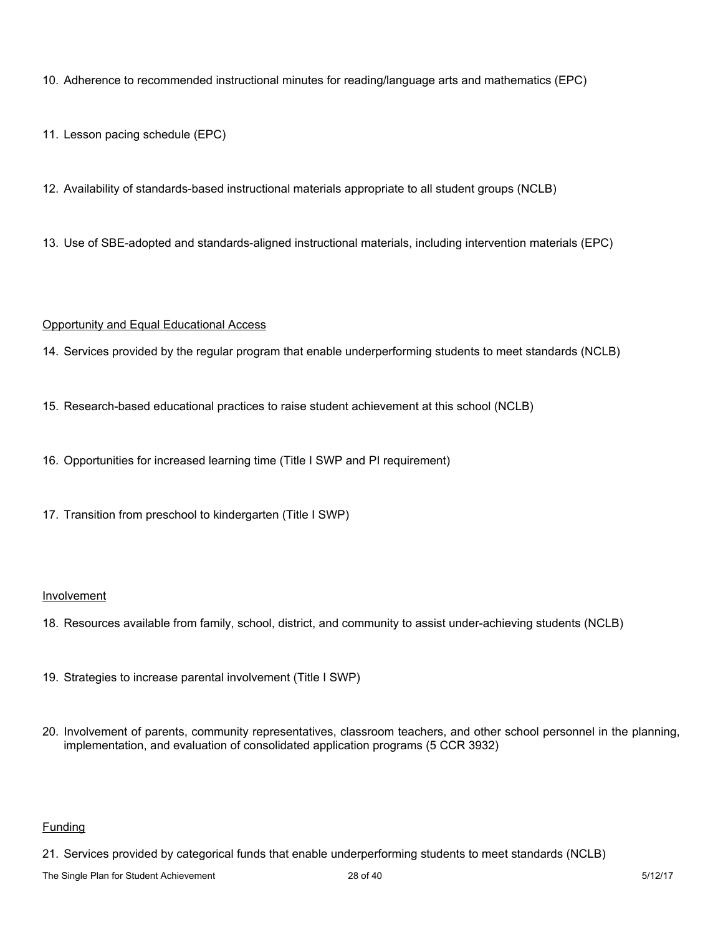10. Adherence to recommended instructional minutes for reading/language arts and mathematics (EPC)

11. Lesson pacing schedule (EPC)

12. Availability of standards-based instructional materials appropriate to all student groups (NCLB)

13. Use of SBE-adopted and standards-aligned instructional materials, including intervention materials (EPC)

### Opportunity and Equal Educational Access

14. Services provided by the regular program that enable underperforming students to meet standards (NCLB)

- 15. Research-based educational practices to raise student achievement at this school (NCLB)
- 16. Opportunities for increased learning time (Title I SWP and PI requirement)
- 17. Transition from preschool to kindergarten (Title I SWP)

### Involvement

- 18. Resources available from family, school, district, and community to assist under-achieving students (NCLB)
- 19. Strategies to increase parental involvement (Title I SWP)
- 20. Involvement of parents, community representatives, classroom teachers, and other school personnel in the planning, implementation, and evaluation of consolidated application programs (5 CCR 3932)

# Funding

21. Services provided by categorical funds that enable underperforming students to meet standards (NCLB)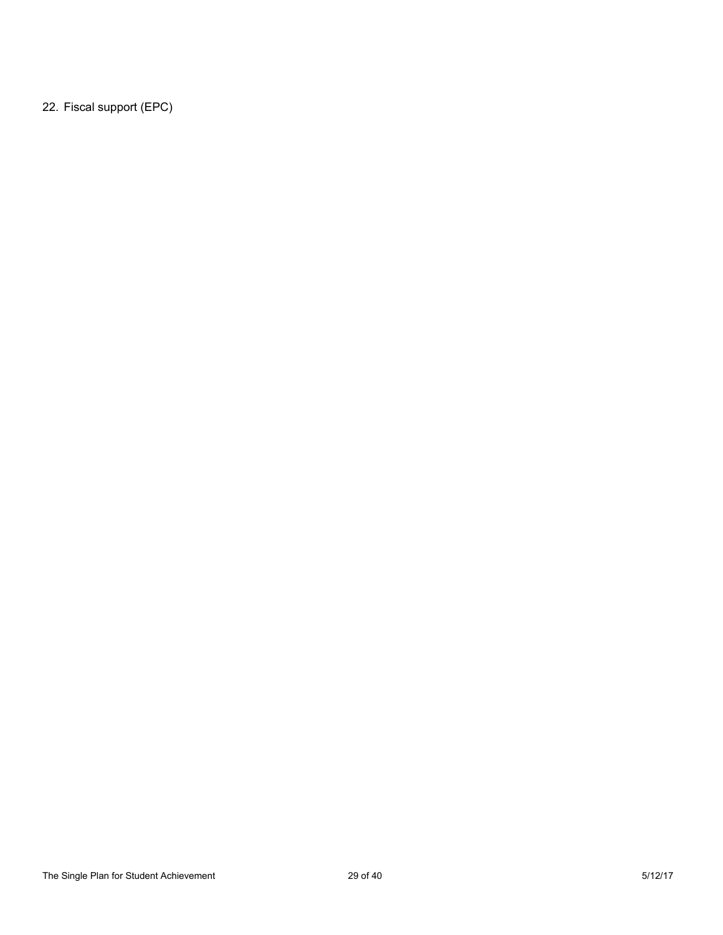22. Fiscal support (EPC)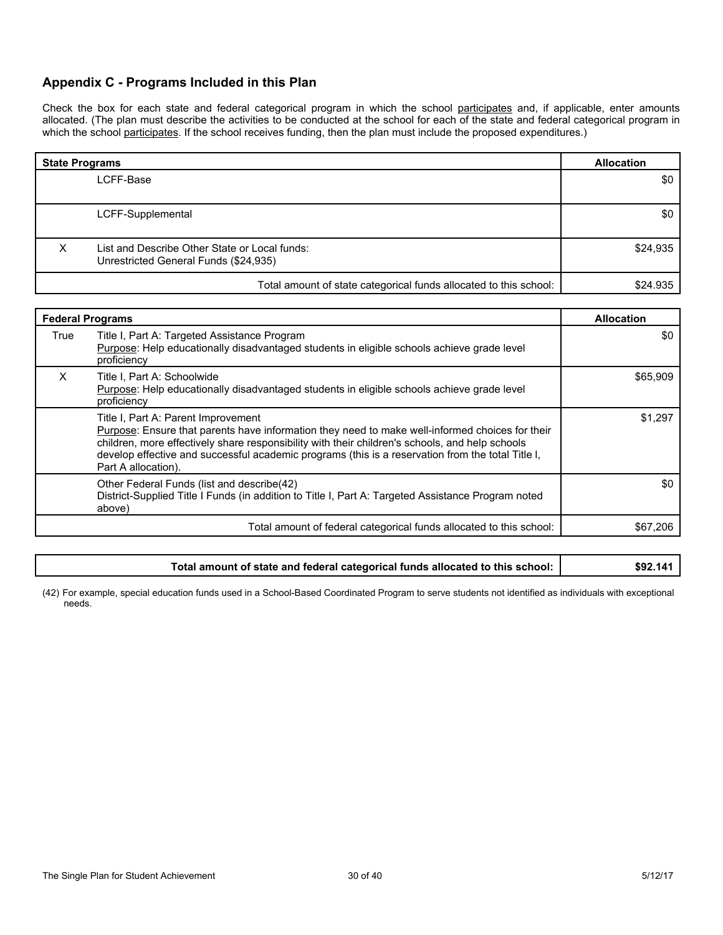## **Appendix C - Programs Included in this Plan**

Check the box for each state and federal categorical program in which the school participates and, if applicable, enter amounts allocated. (The plan must describe the activities to be conducted at the school for each of the state and federal categorical program in which the school participates. If the school receives funding, then the plan must include the proposed expenditures.)

| <b>State Programs</b> | <b>Allocation</b>                                                                      |          |
|-----------------------|----------------------------------------------------------------------------------------|----------|
|                       | LCFF-Base                                                                              | \$0      |
|                       |                                                                                        |          |
|                       | LCFF-Supplemental                                                                      | \$0      |
| ⋏                     | List and Describe Other State or Local funds:<br>Unrestricted General Funds (\$24,935) | \$24,935 |
|                       | Total amount of state categorical funds allocated to this school:                      | \$24.935 |

| <b>Federal Programs</b> | <b>Allocation</b>                                                                                                                                                                                                                                                                                                                                                     |          |
|-------------------------|-----------------------------------------------------------------------------------------------------------------------------------------------------------------------------------------------------------------------------------------------------------------------------------------------------------------------------------------------------------------------|----------|
| True                    | Title I, Part A: Targeted Assistance Program<br>Purpose: Help educationally disadvantaged students in eligible schools achieve grade level<br>proficiency                                                                                                                                                                                                             | \$0      |
| X                       | Title I, Part A: Schoolwide<br>Purpose: Help educationally disadvantaged students in eligible schools achieve grade level<br>proficiency                                                                                                                                                                                                                              | \$65,909 |
|                         | Title I, Part A: Parent Improvement<br>Purpose: Ensure that parents have information they need to make well-informed choices for their<br>children, more effectively share responsibility with their children's schools, and help schools<br>develop effective and successful academic programs (this is a reservation from the total Title I,<br>Part A allocation). | \$1,297  |
|                         | Other Federal Funds (list and describe(42)<br>District-Supplied Title I Funds (in addition to Title I, Part A: Targeted Assistance Program noted<br>above)                                                                                                                                                                                                            | \$0      |
|                         | Total amount of federal categorical funds allocated to this school:                                                                                                                                                                                                                                                                                                   | \$67.206 |

### **Total amount of state and federal categorical funds allocated to this school: \$92.141**

(42) For example, special education funds used in a School-Based Coordinated Program to serve students not identified as individuals with exceptional needs.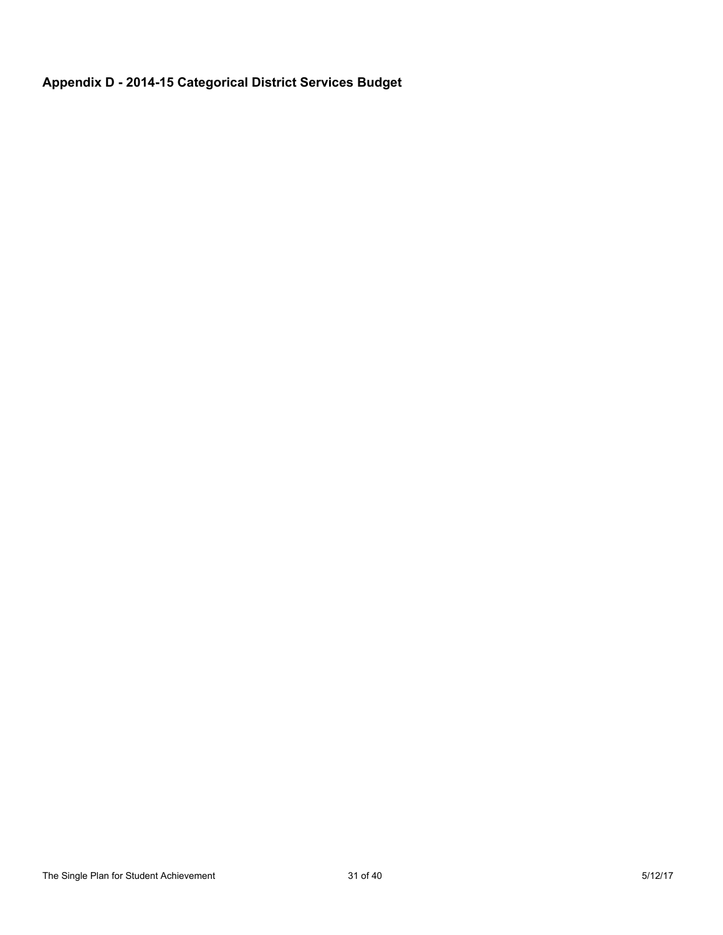# **Appendix D - 2014-15 Categorical District Services Budget**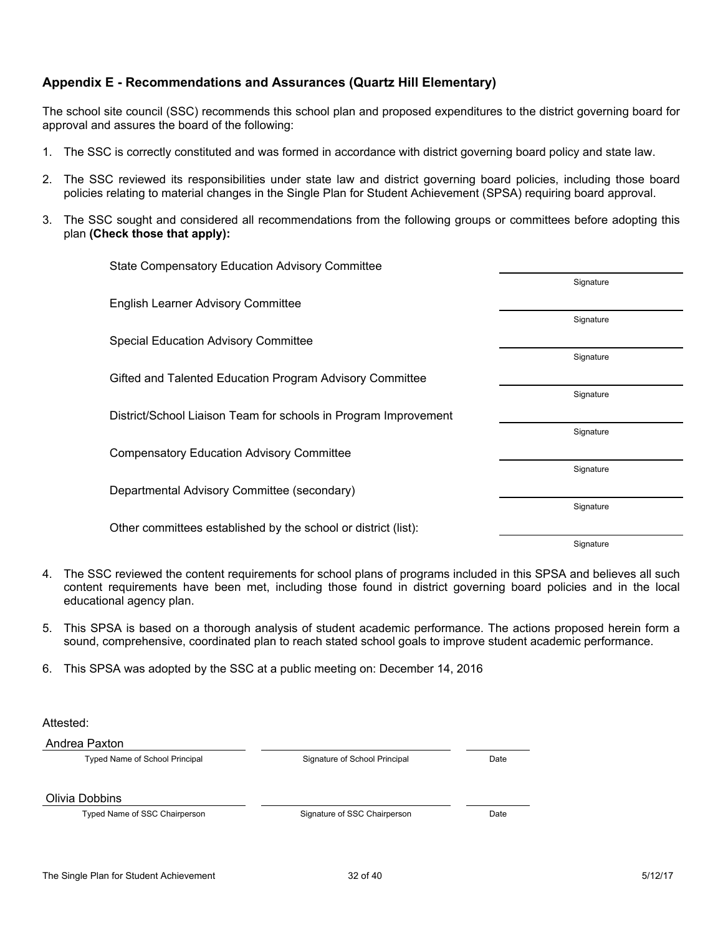# **Appendix E - Recommendations and Assurances (Quartz Hill Elementary)**

The school site council (SSC) recommends this school plan and proposed expenditures to the district governing board for approval and assures the board of the following:

- 1. The SSC is correctly constituted and was formed in accordance with district governing board policy and state law.
- 2. The SSC reviewed its responsibilities under state law and district governing board policies, including those board policies relating to material changes in the Single Plan for Student Achievement (SPSA) requiring board approval.
- 3. The SSC sought and considered all recommendations from the following groups or committees before adopting this plan **(Check those that apply):**

| <b>State Compensatory Education Advisory Committee</b>          |           |
|-----------------------------------------------------------------|-----------|
|                                                                 | Signature |
| <b>English Learner Advisory Committee</b>                       |           |
|                                                                 | Signature |
| <b>Special Education Advisory Committee</b>                     |           |
|                                                                 | Signature |
| Gifted and Talented Education Program Advisory Committee        |           |
|                                                                 | Signature |
| District/School Liaison Team for schools in Program Improvement |           |
|                                                                 | Signature |
| <b>Compensatory Education Advisory Committee</b>                |           |
|                                                                 | Signature |
| Departmental Advisory Committee (secondary)                     |           |
|                                                                 | Signature |
| Other committees established by the school or district (list):  |           |
|                                                                 | Signature |

- 4. The SSC reviewed the content requirements for school plans of programs included in this SPSA and believes all such content requirements have been met, including those found in district governing board policies and in the local educational agency plan.
- 5. This SPSA is based on a thorough analysis of student academic performance. The actions proposed herein form a sound, comprehensive, coordinated plan to reach stated school goals to improve student academic performance.
- 6. This SPSA was adopted by the SSC at a public meeting on: December 14, 2016

Attested:

Andrea Paxton

Typed Name of School Principal Signature of School Principal Date

Olivia Dobbins

Typed Name of SSC Chairperson **State State State State State State State State State State State State State State State State State State State State State State State State State State State State State State State State**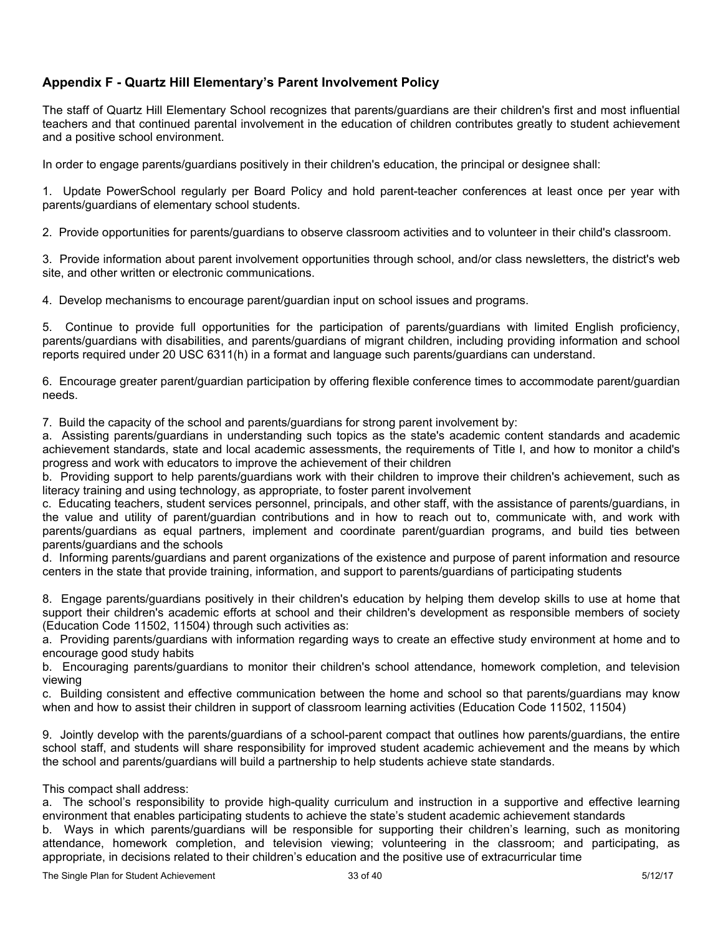# **Appendix F - Quartz Hill Elementary's Parent Involvement Policy**

The staff of Quartz Hill Elementary School recognizes that parents/guardians are their children's first and most influential teachers and that continued parental involvement in the education of children contributes greatly to student achievement and a positive school environment.

In order to engage parents/guardians positively in their children's education, the principal or designee shall:

1. Update PowerSchool regularly per Board Policy and hold parent-teacher conferences at least once per year with parents/guardians of elementary school students.

2. Provide opportunities for parents/guardians to observe classroom activities and to volunteer in their child's classroom.

3. Provide information about parent involvement opportunities through school, and/or class newsletters, the district's web site, and other written or electronic communications.

4. Develop mechanisms to encourage parent/guardian input on school issues and programs.

5. Continue to provide full opportunities for the participation of parents/guardians with limited English proficiency, parents/guardians with disabilities, and parents/guardians of migrant children, including providing information and school reports required under 20 USC 6311(h) in a format and language such parents/guardians can understand.

6. Encourage greater parent/guardian participation by offering flexible conference times to accommodate parent/guardian needs.

7. Build the capacity of the school and parents/guardians for strong parent involvement by:

a. Assisting parents/guardians in understanding such topics as the state's academic content standards and academic achievement standards, state and local academic assessments, the requirements of Title I, and how to monitor a child's progress and work with educators to improve the achievement of their children

b. Providing support to help parents/guardians work with their children to improve their children's achievement, such as literacy training and using technology, as appropriate, to foster parent involvement

c. Educating teachers, student services personnel, principals, and other staff, with the assistance of parents/guardians, in the value and utility of parent/guardian contributions and in how to reach out to, communicate with, and work with parents/guardians as equal partners, implement and coordinate parent/guardian programs, and build ties between parents/guardians and the schools

d. Informing parents/guardians and parent organizations of the existence and purpose of parent information and resource centers in the state that provide training, information, and support to parents/guardians of participating students

8. Engage parents/guardians positively in their children's education by helping them develop skills to use at home that support their children's academic efforts at school and their children's development as responsible members of society (Education Code 11502, 11504) through such activities as:

a. Providing parents/guardians with information regarding ways to create an effective study environment at home and to encourage good study habits

b. Encouraging parents/guardians to monitor their children's school attendance, homework completion, and television viewing

c. Building consistent and effective communication between the home and school so that parents/guardians may know when and how to assist their children in support of classroom learning activities (Education Code 11502, 11504)

9. Jointly develop with the parents/guardians of a school-parent compact that outlines how parents/guardians, the entire school staff, and students will share responsibility for improved student academic achievement and the means by which the school and parents/guardians will build a partnership to help students achieve state standards.

### This compact shall address:

a. The school's responsibility to provide high-quality curriculum and instruction in a supportive and effective learning environment that enables participating students to achieve the state's student academic achievement standards

b. Ways in which parents/guardians will be responsible for supporting their children's learning, such as monitoring attendance, homework completion, and television viewing; volunteering in the classroom; and participating, as appropriate, in decisions related to their children's education and the positive use of extracurricular time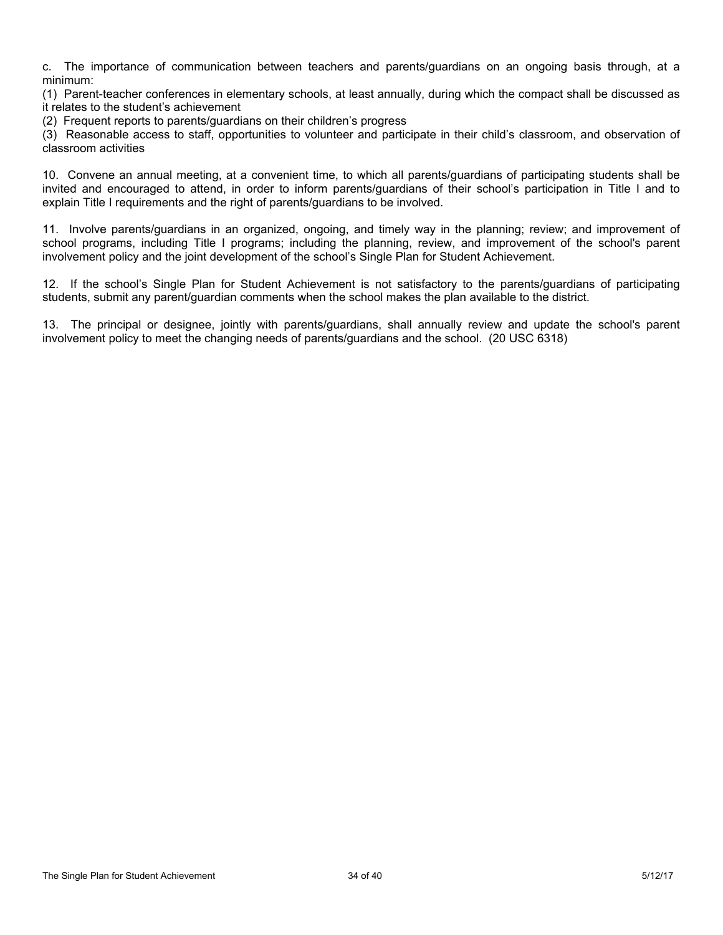c. The importance of communication between teachers and parents/guardians on an ongoing basis through, at a minimum:

(1) Parent-teacher conferences in elementary schools, at least annually, during which the compact shall be discussed as it relates to the student's achievement

(2) Frequent reports to parents/guardians on their children's progress

(3) Reasonable access to staff, opportunities to volunteer and participate in their child's classroom, and observation of classroom activities

10. Convene an annual meeting, at a convenient time, to which all parents/guardians of participating students shall be invited and encouraged to attend, in order to inform parents/guardians of their school's participation in Title I and to explain Title I requirements and the right of parents/guardians to be involved.

11. Involve parents/guardians in an organized, ongoing, and timely way in the planning; review; and improvement of school programs, including Title I programs; including the planning, review, and improvement of the school's parent involvement policy and the joint development of the school's Single Plan for Student Achievement.

12. If the school's Single Plan for Student Achievement is not satisfactory to the parents/guardians of participating students, submit any parent/guardian comments when the school makes the plan available to the district.

13. The principal or designee, jointly with parents/guardians, shall annually review and update the school's parent involvement policy to meet the changing needs of parents/guardians and the school. (20 USC 6318)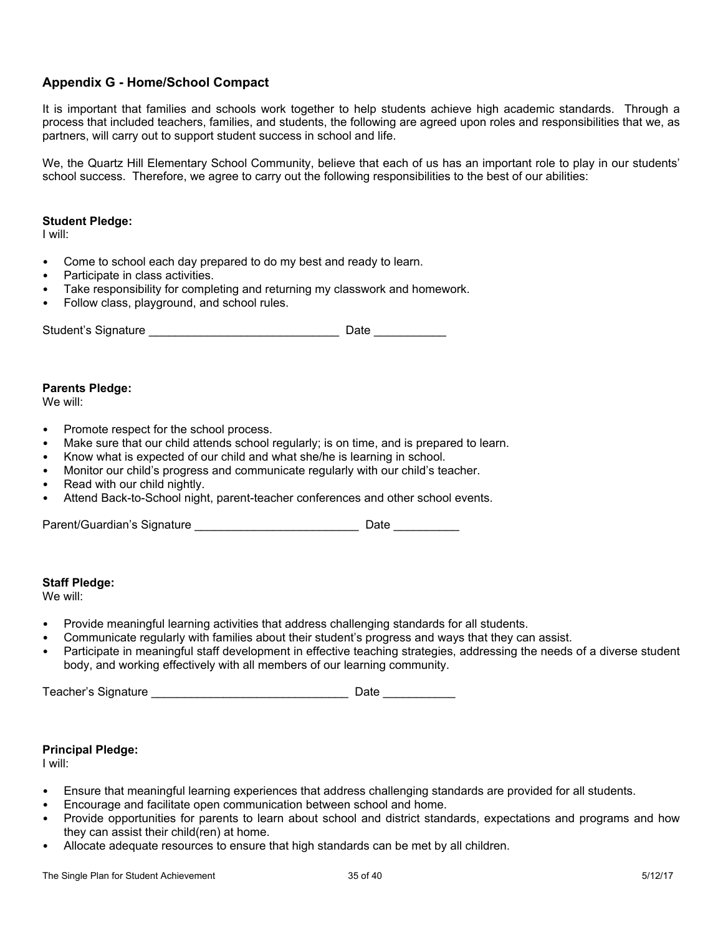# **Appendix G - Home/School Compact**

It is important that families and schools work together to help students achieve high academic standards. Through a process that included teachers, families, and students, the following are agreed upon roles and responsibilities that we, as partners, will carry out to support student success in school and life.

We, the Quartz Hill Elementary School Community, believe that each of us has an important role to play in our students' school success. Therefore, we agree to carry out the following responsibilities to the best of our abilities:

#### **Student Pledge:**

I will:

- Come to school each day prepared to do my best and ready to learn.
- Participate in class activities.
- Take responsibility for completing and returning my classwork and homework.
- Follow class, playground, and school rules.

| Student's Signature | Date |  |
|---------------------|------|--|
|                     |      |  |

#### **Parents Pledge:**

We will:

- Promote respect for the school process.
- Make sure that our child attends school regularly; is on time, and is prepared to learn.
- Know what is expected of our child and what she/he is learning in school.
- Monitor our child's progress and communicate regularly with our child's teacher.
- Read with our child nightly.
- Attend Back-to-School night, parent-teacher conferences and other school events.

Parent/Guardian's Signature \_\_\_\_\_\_\_\_\_\_\_\_\_\_\_\_\_\_\_\_\_\_\_\_\_\_\_\_\_\_\_\_\_\_ Date \_\_\_\_\_\_\_\_\_\_\_\_

#### **Staff Pledge:**

We will:

- Provide meaningful learning activities that address challenging standards for all students.
- Communicate regularly with families about their student's progress and ways that they can assist.
- Participate in meaningful staff development in effective teaching strategies, addressing the needs of a diverse student body, and working effectively with all members of our learning community.

Teacher's Signature \_\_\_\_\_\_\_\_\_\_\_\_\_\_\_\_\_\_\_\_\_\_\_\_\_\_\_\_\_\_ Date \_\_\_\_\_\_\_\_\_\_\_

### **Principal Pledge:**

I will:

- Ensure that meaningful learning experiences that address challenging standards are provided for all students.
- Encourage and facilitate open communication between school and home.
- Provide opportunities for parents to learn about school and district standards, expectations and programs and how they can assist their child(ren) at home.
- Allocate adequate resources to ensure that high standards can be met by all children.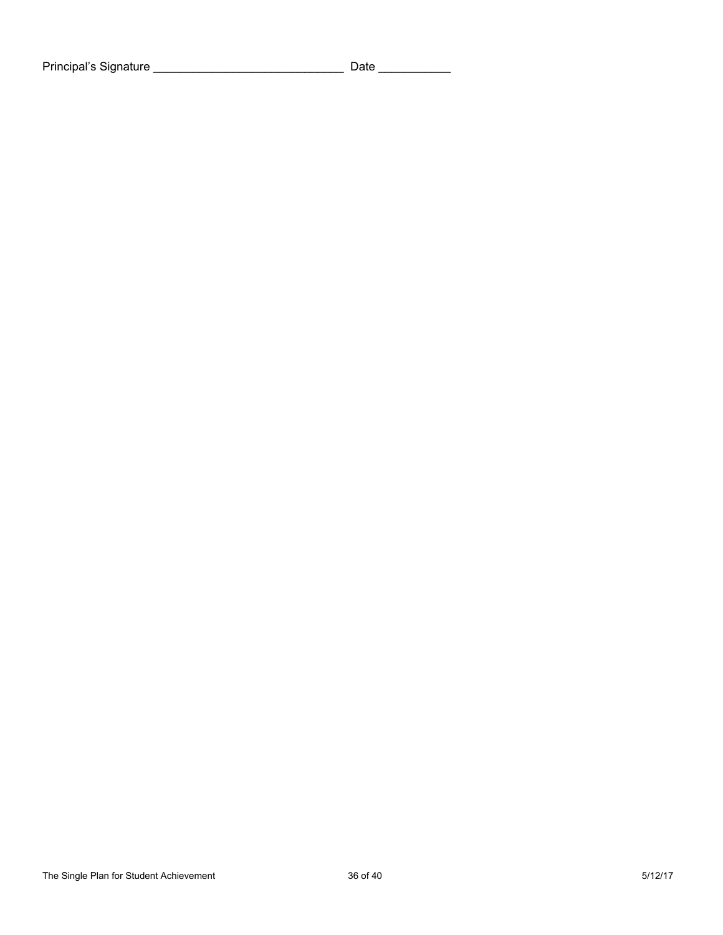Principal's Signature \_\_\_\_\_\_\_\_\_\_\_\_\_\_\_\_\_\_\_\_\_\_\_\_\_\_\_\_\_ Date \_\_\_\_\_\_\_\_\_\_\_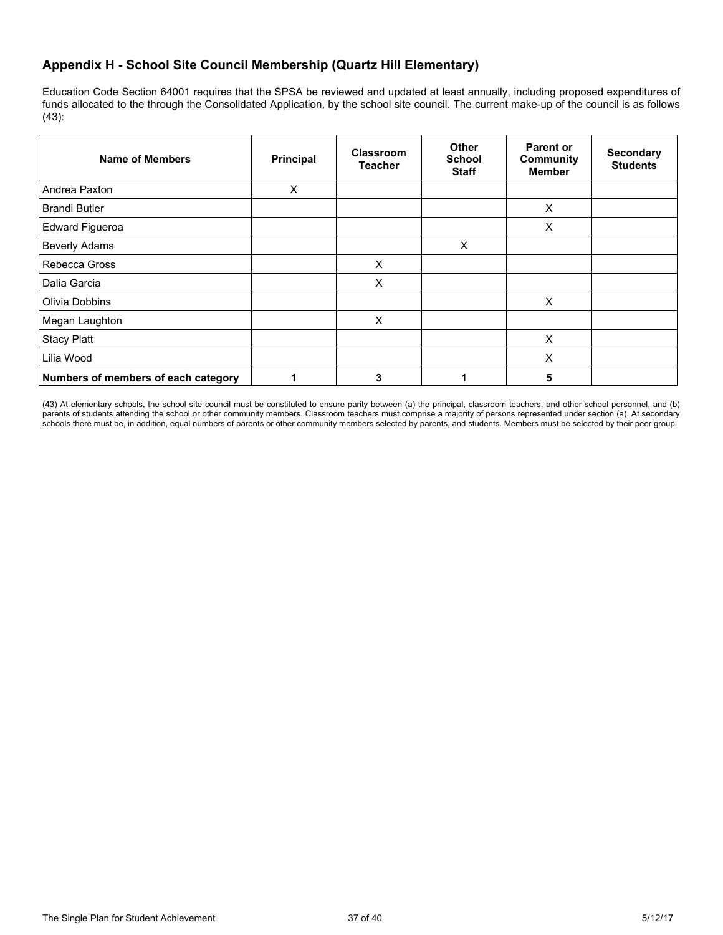# **Appendix H - School Site Council Membership (Quartz Hill Elementary)**

Education Code Section 64001 requires that the SPSA be reviewed and updated at least annually, including proposed expenditures of funds allocated to the through the Consolidated Application, by the school site council. The current make-up of the council is as follows (43):

| Name of Members                     | Principal | Classroom<br><b>Teacher</b> | <b>Other</b><br><b>School</b><br><b>Staff</b> | <b>Parent or</b><br><b>Community</b><br><b>Member</b> | <b>Secondary</b><br><b>Students</b> |
|-------------------------------------|-----------|-----------------------------|-----------------------------------------------|-------------------------------------------------------|-------------------------------------|
| Andrea Paxton                       | X         |                             |                                               |                                                       |                                     |
| <b>Brandi Butler</b>                |           |                             |                                               | X                                                     |                                     |
| <b>Edward Figueroa</b>              |           |                             |                                               | X                                                     |                                     |
| <b>Beverly Adams</b>                |           |                             | X                                             |                                                       |                                     |
| Rebecca Gross                       |           | X                           |                                               |                                                       |                                     |
| Dalia Garcia                        |           | X                           |                                               |                                                       |                                     |
| Olivia Dobbins                      |           |                             |                                               | X                                                     |                                     |
| Megan Laughton                      |           | X                           |                                               |                                                       |                                     |
| <b>Stacy Platt</b>                  |           |                             |                                               | X                                                     |                                     |
| Lilia Wood                          |           |                             |                                               | X                                                     |                                     |
| Numbers of members of each category |           | 3                           |                                               | 5                                                     |                                     |

(43) At elementary schools, the school site council must be constituted to ensure parity between (a) the principal, classroom teachers, and other school personnel, and (b) parents of students attending the school or other community members. Classroom teachers must comprise a majority of persons represented under section (a). At secondary schools there must be, in addition, equal numbers of parents or other community members selected by parents, and students. Members must be selected by their peer group.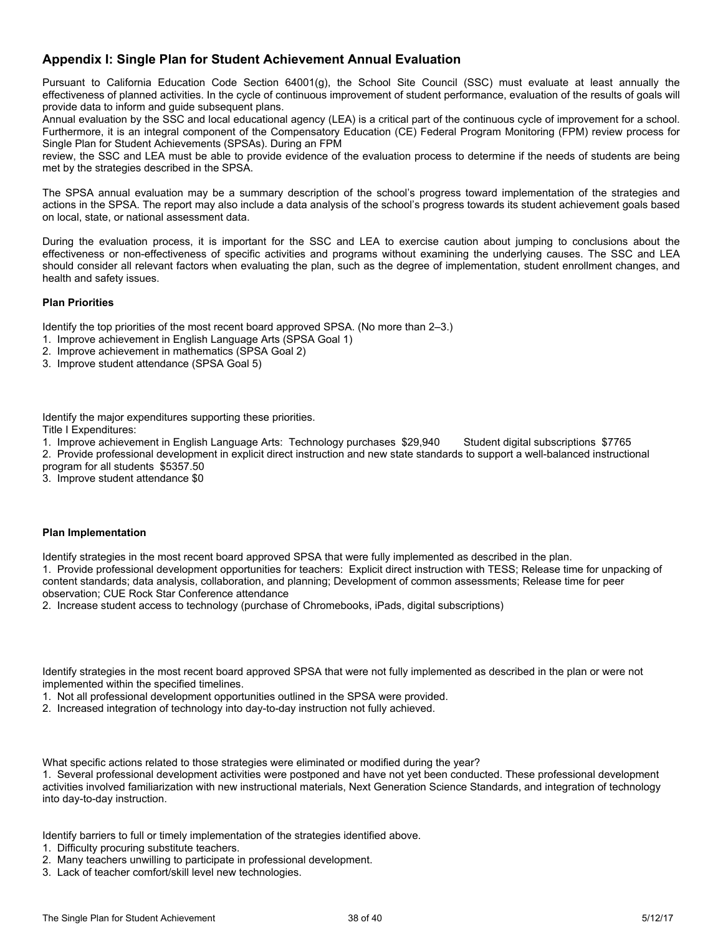## **Appendix I: Single Plan for Student Achievement Annual Evaluation**

Pursuant to California Education Code Section 64001(g), the School Site Council (SSC) must evaluate at least annually the effectiveness of planned activities. In the cycle of continuous improvement of student performance, evaluation of the results of goals will provide data to inform and guide subsequent plans.

Annual evaluation by the SSC and local educational agency (LEA) is a critical part of the continuous cycle of improvement for a school. Furthermore, it is an integral component of the Compensatory Education (CE) Federal Program Monitoring (FPM) review process for Single Plan for Student Achievements (SPSAs). During an FPM

review, the SSC and LEA must be able to provide evidence of the evaluation process to determine if the needs of students are being met by the strategies described in the SPSA.

The SPSA annual evaluation may be a summary description of the school's progress toward implementation of the strategies and actions in the SPSA. The report may also include a data analysis of the school's progress towards its student achievement goals based on local, state, or national assessment data.

During the evaluation process, it is important for the SSC and LEA to exercise caution about jumping to conclusions about the effectiveness or non-effectiveness of specific activities and programs without examining the underlying causes. The SSC and LEA should consider all relevant factors when evaluating the plan, such as the degree of implementation, student enrollment changes, and health and safety issues.

#### **Plan Priorities**

Identify the top priorities of the most recent board approved SPSA. (No more than 2–3.)

- 1. Improve achievement in English Language Arts (SPSA Goal 1)
- 2. Improve achievement in mathematics (SPSA Goal 2)
- 3. Improve student attendance (SPSA Goal 5)

Identify the major expenditures supporting these priorities.

Title I Expenditures:

1. Improve achievement in English Language Arts: Technology purchases \$29,940 Student digital subscriptions \$7765

2. Provide professional development in explicit direct instruction and new state standards to support a well-balanced instructional program for all students \$5357.50

3. Improve student attendance \$0

#### **Plan Implementation**

Identify strategies in the most recent board approved SPSA that were fully implemented as described in the plan.

1. Provide professional development opportunities for teachers: Explicit direct instruction with TESS; Release time for unpacking of content standards; data analysis, collaboration, and planning; Development of common assessments; Release time for peer observation; CUE Rock Star Conference attendance

2. Increase student access to technology (purchase of Chromebooks, iPads, digital subscriptions)

Identify strategies in the most recent board approved SPSA that were not fully implemented as described in the plan or were not implemented within the specified timelines.

1. Not all professional development opportunities outlined in the SPSA were provided.

2. Increased integration of technology into day-to-day instruction not fully achieved.

What specific actions related to those strategies were eliminated or modified during the year?

1. Several professional development activities were postponed and have not yet been conducted. These professional development activities involved familiarization with new instructional materials, Next Generation Science Standards, and integration of technology into day-to-day instruction.

Identify barriers to full or timely implementation of the strategies identified above.

- 1. Difficulty procuring substitute teachers.
- 2. Many teachers unwilling to participate in professional development.
- 3. Lack of teacher comfort/skill level new technologies.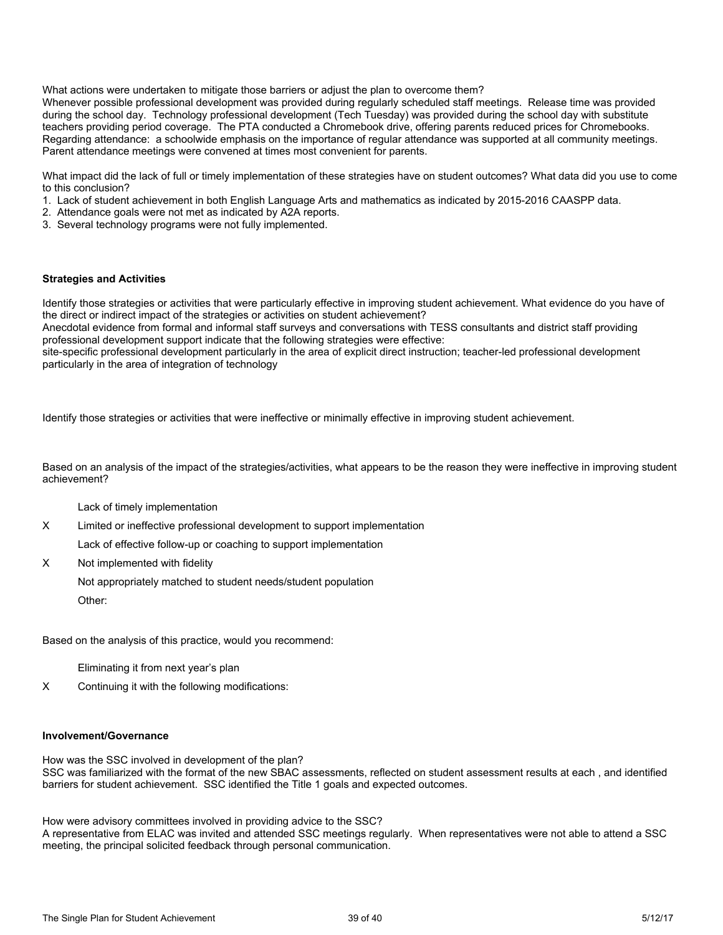What actions were undertaken to mitigate those barriers or adjust the plan to overcome them?

Whenever possible professional development was provided during regularly scheduled staff meetings. Release time was provided during the school day. Technology professional development (Tech Tuesday) was provided during the school day with substitute teachers providing period coverage. The PTA conducted a Chromebook drive, offering parents reduced prices for Chromebooks. Regarding attendance: a schoolwide emphasis on the importance of regular attendance was supported at all community meetings. Parent attendance meetings were convened at times most convenient for parents.

What impact did the lack of full or timely implementation of these strategies have on student outcomes? What data did you use to come to this conclusion?

- 1. Lack of student achievement in both English Language Arts and mathematics as indicated by 2015-2016 CAASPP data.
- 2. Attendance goals were not met as indicated by A2A reports.
- 3. Several technology programs were not fully implemented.

#### **Strategies and Activities**

Identify those strategies or activities that were particularly effective in improving student achievement. What evidence do you have of the direct or indirect impact of the strategies or activities on student achievement?

Anecdotal evidence from formal and informal staff surveys and conversations with TESS consultants and district staff providing professional development support indicate that the following strategies were effective:

site-specific professional development particularly in the area of explicit direct instruction; teacher-led professional development particularly in the area of integration of technology

Identify those strategies or activities that were ineffective or minimally effective in improving student achievement.

Based on an analysis of the impact of the strategies/activities, what appears to be the reason they were ineffective in improving student achievement?

Lack of timely implementation

X Limited or ineffective professional development to support implementation

Lack of effective follow-up or coaching to support implementation

X Not implemented with fidelity

Not appropriately matched to student needs/student population

Other:

Based on the analysis of this practice, would you recommend:

Eliminating it from next year's plan

X Continuing it with the following modifications:

#### **Involvement/Governance**

How was the SSC involved in development of the plan? SSC was familiarized with the format of the new SBAC assessments, reflected on student assessment results at each , and identified barriers for student achievement. SSC identified the Title 1 goals and expected outcomes.

How were advisory committees involved in providing advice to the SSC?

A representative from ELAC was invited and attended SSC meetings regularly. When representatives were not able to attend a SSC meeting, the principal solicited feedback through personal communication.